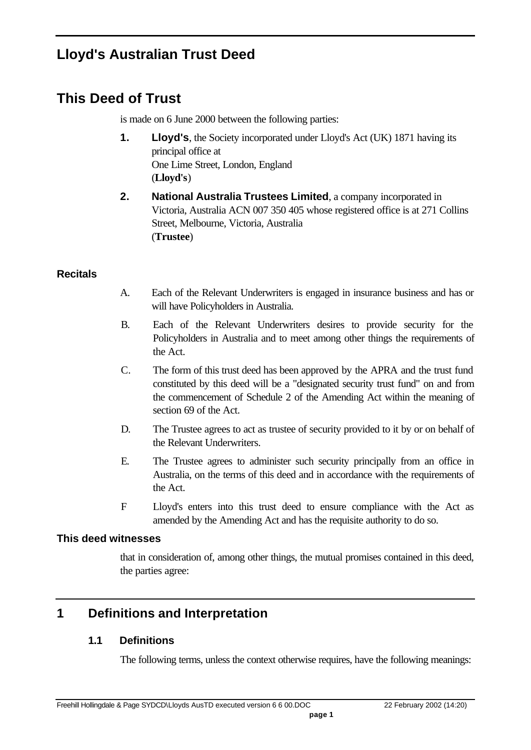# **Lloyd's Australian Trust Deed**

# **This Deed of Trust**

is made on 6 June 2000 between the following parties:

- **1. Lloyd's**, the Society incorporated under Lloyd's Act (UK) 1871 having its principal office at One Lime Street, London, England (**Lloyd's**)
- **2. National Australia Trustees Limited**, a company incorporated in Victoria, Australia ACN 007 350 405 whose registered office is at 271 Collins Street, Melbourne, Victoria, Australia (**Trustee**)

#### **Recitals**

- A. Each of the Relevant Underwriters is engaged in insurance business and has or will have Policyholders in Australia.
- B. Each of the Relevant Underwriters desires to provide security for the Policyholders in Australia and to meet among other things the requirements of the Act.
- C. The form of this trust deed has been approved by the APRA and the trust fund constituted by this deed will be a "designated security trust fund" on and from the commencement of Schedule 2 of the Amending Act within the meaning of section 69 of the Act.
- D. The Trustee agrees to act as trustee of security provided to it by or on behalf of the Relevant Underwriters.
- E. The Trustee agrees to administer such security principally from an office in Australia, on the terms of this deed and in accordance with the requirements of the Act.
- F Lloyd's enters into this trust deed to ensure compliance with the Act as amended by the Amending Act and has the requisite authority to do so.

#### **This deed witnesses**

that in consideration of, among other things, the mutual promises contained in this deed, the parties agree:

## **1 Definitions and Interpretation**

#### **1.1 Definitions**

The following terms, unless the context otherwise requires, have the following meanings: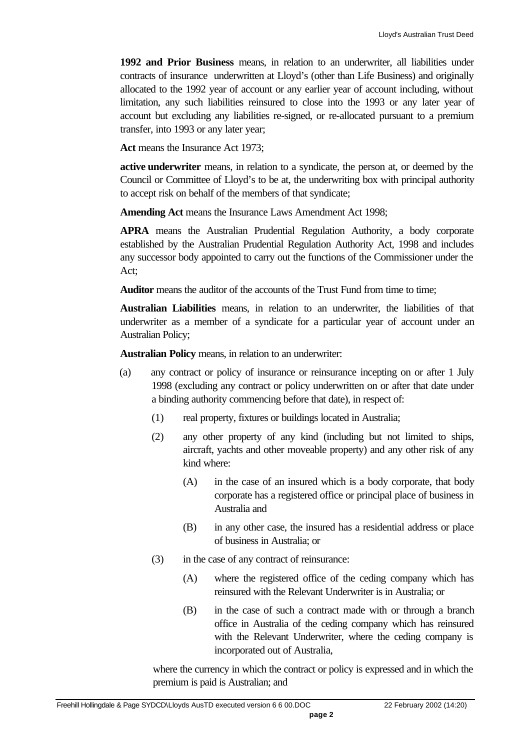**1992 and Prior Business** means, in relation to an underwriter, all liabilities under contracts of insurance underwritten at Lloyd's (other than Life Business) and originally allocated to the 1992 year of account or any earlier year of account including, without limitation, any such liabilities reinsured to close into the 1993 or any later year of account but excluding any liabilities re-signed, or re-allocated pursuant to a premium transfer, into 1993 or any later year;

**Act** means the Insurance Act 1973;

**active underwriter** means, in relation to a syndicate, the person at, or deemed by the Council or Committee of Lloyd's to be at, the underwriting box with principal authority to accept risk on behalf of the members of that syndicate;

**Amending Act** means the Insurance Laws Amendment Act 1998;

**APRA** means the Australian Prudential Regulation Authority, a body corporate established by the Australian Prudential Regulation Authority Act, 1998 and includes any successor body appointed to carry out the functions of the Commissioner under the Act;

**Auditor** means the auditor of the accounts of the Trust Fund from time to time;

**Australian Liabilities** means, in relation to an underwriter, the liabilities of that underwriter as a member of a syndicate for a particular year of account under an Australian Policy;

**Australian Policy** means, in relation to an underwriter:

- (a) any contract or policy of insurance or reinsurance incepting on or after 1 July 1998 (excluding any contract or policy underwritten on or after that date under a binding authority commencing before that date), in respect of:
	- (1) real property, fixtures or buildings located in Australia;
	- (2) any other property of any kind (including but not limited to ships, aircraft, yachts and other moveable property) and any other risk of any kind where:
		- (A) in the case of an insured which is a body corporate, that body corporate has a registered office or principal place of business in Australia and
		- (B) in any other case, the insured has a residential address or place of business in Australia; or
	- (3) in the case of any contract of reinsurance:
		- (A) where the registered office of the ceding company which has reinsured with the Relevant Underwriter is in Australia; or
		- (B) in the case of such a contract made with or through a branch office in Australia of the ceding company which has reinsured with the Relevant Underwriter, where the ceding company is incorporated out of Australia,

where the currency in which the contract or policy is expressed and in which the premium is paid is Australian; and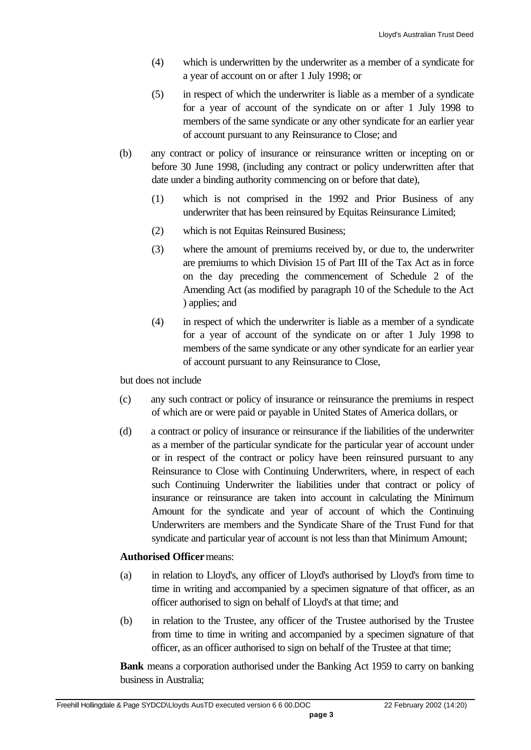- (4) which is underwritten by the underwriter as a member of a syndicate for a year of account on or after 1 July 1998; or
- (5) in respect of which the underwriter is liable as a member of a syndicate for a year of account of the syndicate on or after 1 July 1998 to members of the same syndicate or any other syndicate for an earlier year of account pursuant to any Reinsurance to Close; and
- (b) any contract or policy of insurance or reinsurance written or incepting on or before 30 June 1998, (including any contract or policy underwritten after that date under a binding authority commencing on or before that date),
	- (1) which is not comprised in the 1992 and Prior Business of any underwriter that has been reinsured by Equitas Reinsurance Limited;
	- (2) which is not Equitas Reinsured Business;
	- (3) where the amount of premiums received by, or due to, the underwriter are premiums to which Division 15 of Part III of the Tax Act as in force on the day preceding the commencement of Schedule 2 of the Amending Act (as modified by paragraph 10 of the Schedule to the Act ) applies; and
	- (4) in respect of which the underwriter is liable as a member of a syndicate for a year of account of the syndicate on or after 1 July 1998 to members of the same syndicate or any other syndicate for an earlier year of account pursuant to any Reinsurance to Close,

but does not include

- (c) any such contract or policy of insurance or reinsurance the premiums in respect of which are or were paid or payable in United States of America dollars, or
- (d) a contract or policy of insurance or reinsurance if the liabilities of the underwriter as a member of the particular syndicate for the particular year of account under or in respect of the contract or policy have been reinsured pursuant to any Reinsurance to Close with Continuing Underwriters, where, in respect of each such Continuing Underwriter the liabilities under that contract or policy of insurance or reinsurance are taken into account in calculating the Minimum Amount for the syndicate and year of account of which the Continuing Underwriters are members and the Syndicate Share of the Trust Fund for that syndicate and particular year of account is not less than that Minimum Amount;

#### **Authorised Officer** means:

- (a) in relation to Lloyd's, any officer of Lloyd's authorised by Lloyd's from time to time in writing and accompanied by a specimen signature of that officer, as an officer authorised to sign on behalf of Lloyd's at that time; and
- (b) in relation to the Trustee, any officer of the Trustee authorised by the Trustee from time to time in writing and accompanied by a specimen signature of that officer, as an officer authorised to sign on behalf of the Trustee at that time;

**Bank** means a corporation authorised under the Banking Act 1959 to carry on banking business in Australia;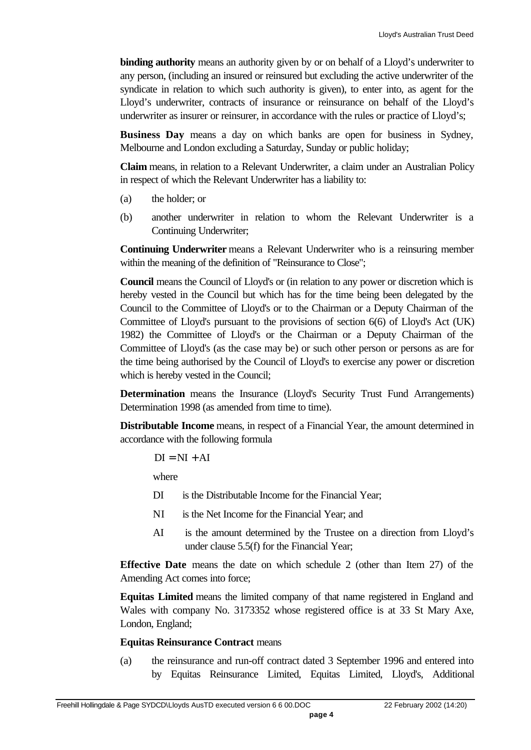**binding authority** means an authority given by or on behalf of a Lloyd's underwriter to any person, (including an insured or reinsured but excluding the active underwriter of the syndicate in relation to which such authority is given), to enter into, as agent for the Lloyd's underwriter, contracts of insurance or reinsurance on behalf of the Lloyd's underwriter as insurer or reinsurer, in accordance with the rules or practice of Lloyd's;

**Business Day** means a day on which banks are open for business in Sydney, Melbourne and London excluding a Saturday, Sunday or public holiday;

**Claim** means, in relation to a Relevant Underwriter, a claim under an Australian Policy in respect of which the Relevant Underwriter has a liability to:

- (a) the holder; or
- (b) another underwriter in relation to whom the Relevant Underwriter is a Continuing Underwriter;

**Continuing Underwriter** means a Relevant Underwriter who is a reinsuring member within the meaning of the definition of "Reinsurance to Close";

**Council** means the Council of Lloyd's or (in relation to any power or discretion which is hereby vested in the Council but which has for the time being been delegated by the Council to the Committee of Lloyd's or to the Chairman or a Deputy Chairman of the Committee of Lloyd's pursuant to the provisions of section 6(6) of Lloyd's Act (UK) 1982) the Committee of Lloyd's or the Chairman or a Deputy Chairman of the Committee of Lloyd's (as the case may be) or such other person or persons as are for the time being authorised by the Council of Lloyd's to exercise any power or discretion which is hereby vested in the Council;

**Determination** means the Insurance (Lloyd's Security Trust Fund Arrangements) Determination 1998 (as amended from time to time).

**Distributable Income** means, in respect of a Financial Year, the amount determined in accordance with the following formula

 $DI = NI + AI$ 

where

- DI is the Distributable Income for the Financial Year:
- NI is the Net Income for the Financial Year; and
- AI is the amount determined by the Trustee on a direction from Lloyd's under clause 5.5(f) for the Financial Year;

**Effective Date** means the date on which schedule 2 (other than Item 27) of the Amending Act comes into force;

**Equitas Limited** means the limited company of that name registered in England and Wales with company No. 3173352 whose registered office is at 33 St Mary Axe, London, England;

#### **Equitas Reinsurance Contract** means

(a) the reinsurance and run-off contract dated 3 September 1996 and entered into by Equitas Reinsurance Limited, Equitas Limited, Lloyd's, Additional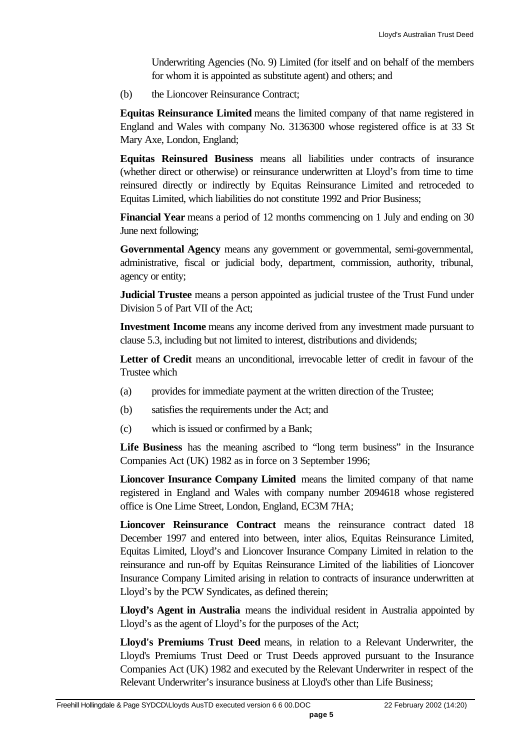Underwriting Agencies (No. 9) Limited (for itself and on behalf of the members for whom it is appointed as substitute agent) and others; and

(b) the Lioncover Reinsurance Contract;

**Equitas Reinsurance Limited** means the limited company of that name registered in England and Wales with company No. 3136300 whose registered office is at 33 St Mary Axe, London, England;

**Equitas Reinsured Business** means all liabilities under contracts of insurance (whether direct or otherwise) or reinsurance underwritten at Lloyd's from time to time reinsured directly or indirectly by Equitas Reinsurance Limited and retroceded to Equitas Limited, which liabilities do not constitute 1992 and Prior Business;

**Financial Year** means a period of 12 months commencing on 1 July and ending on 30 June next following;

**Governmental Agency** means any government or governmental, semi-governmental, administrative, fiscal or judicial body, department, commission, authority, tribunal, agency or entity;

**Judicial Trustee** means a person appointed as judicial trustee of the Trust Fund under Division 5 of Part VII of the Act;

**Investment Income** means any income derived from any investment made pursuant to clause 5.3, including but not limited to interest, distributions and dividends;

Letter of Credit means an unconditional, irrevocable letter of credit in favour of the Trustee which

- (a) provides for immediate payment at the written direction of the Trustee;
- (b) satisfies the requirements under the Act; and
- (c) which is issued or confirmed by a Bank;

Life Business has the meaning ascribed to "long term business" in the Insurance Companies Act (UK) 1982 as in force on 3 September 1996;

**Lioncover Insurance Company Limited** means the limited company of that name registered in England and Wales with company number 2094618 whose registered office is One Lime Street, London, England, EC3M 7HA;

**Lioncover Reinsurance Contract** means the reinsurance contract dated 18 December 1997 and entered into between, inter alios, Equitas Reinsurance Limited, Equitas Limited, Lloyd's and Lioncover Insurance Company Limited in relation to the reinsurance and run-off by Equitas Reinsurance Limited of the liabilities of Lioncover Insurance Company Limited arising in relation to contracts of insurance underwritten at Lloyd's by the PCW Syndicates, as defined therein;

**Lloyd's Agent in Australia** means the individual resident in Australia appointed by Lloyd's as the agent of Lloyd's for the purposes of the Act;

**Lloyd's Premiums Trust Deed** means, in relation to a Relevant Underwriter, the Lloyd's Premiums Trust Deed or Trust Deeds approved pursuant to the Insurance Companies Act (UK) 1982 and executed by the Relevant Underwriter in respect of the Relevant Underwriter's insurance business at Lloyd's other than Life Business;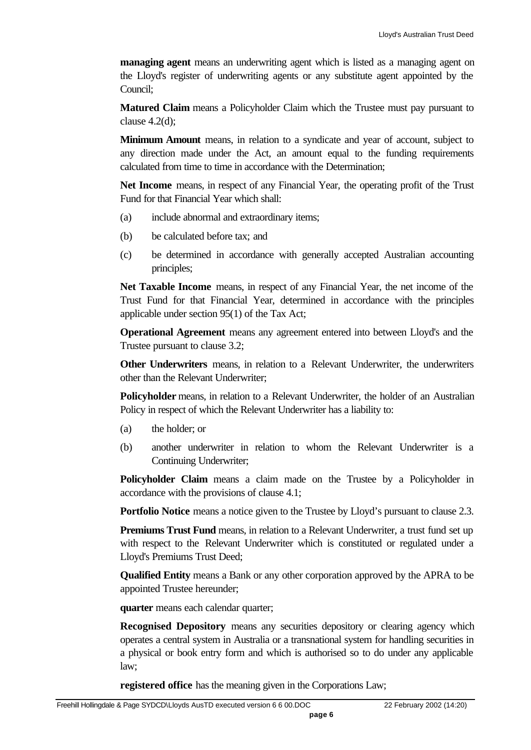**managing agent** means an underwriting agent which is listed as a managing agent on the Lloyd's register of underwriting agents or any substitute agent appointed by the Council;

**Matured Claim** means a Policyholder Claim which the Trustee must pay pursuant to clause  $4.2(d)$ ;

**Minimum Amount** means, in relation to a syndicate and year of account, subject to any direction made under the Act, an amount equal to the funding requirements calculated from time to time in accordance with the Determination;

**Net Income** means, in respect of any Financial Year, the operating profit of the Trust Fund for that Financial Year which shall:

- (a) include abnormal and extraordinary items;
- (b) be calculated before tax; and
- (c) be determined in accordance with generally accepted Australian accounting principles;

**Net Taxable Income** means, in respect of any Financial Year, the net income of the Trust Fund for that Financial Year, determined in accordance with the principles applicable under section 95(1) of the Tax Act;

**Operational Agreement** means any agreement entered into between Lloyd's and the Trustee pursuant to clause 3.2;

**Other Underwriters** means, in relation to a Relevant Underwriter, the underwriters other than the Relevant Underwriter;

**Policyholder** means, in relation to a Relevant Underwriter, the holder of an Australian Policy in respect of which the Relevant Underwriter has a liability to:

- (a) the holder; or
- (b) another underwriter in relation to whom the Relevant Underwriter is a Continuing Underwriter;

**Policyholder Claim** means a claim made on the Trustee by a Policyholder in accordance with the provisions of clause 4.1;

**Portfolio Notice** means a notice given to the Trustee by Lloyd's pursuant to clause 2.3.

**Premiums Trust Fund** means, in relation to a Relevant Underwriter, a trust fund set up with respect to the Relevant Underwriter which is constituted or regulated under a Lloyd's Premiums Trust Deed;

**Qualified Entity** means a Bank or any other corporation approved by the APRA to be appointed Trustee hereunder;

**quarter** means each calendar quarter;

**Recognised Depository** means any securities depository or clearing agency which operates a central system in Australia or a transnational system for handling securities in a physical or book entry form and which is authorised so to do under any applicable law;

**registered office** has the meaning given in the Corporations Law;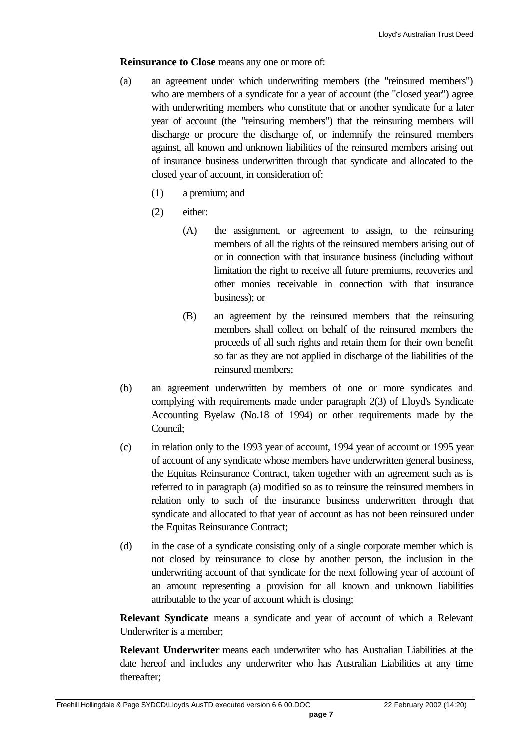#### **Reinsurance to Close** means any one or more of:

- (a) an agreement under which underwriting members (the "reinsured members") who are members of a syndicate for a year of account (the "closed year") agree with underwriting members who constitute that or another syndicate for a later year of account (the "reinsuring members") that the reinsuring members will discharge or procure the discharge of, or indemnify the reinsured members against, all known and unknown liabilities of the reinsured members arising out of insurance business underwritten through that syndicate and allocated to the closed year of account, in consideration of:
	- (1) a premium; and
	- (2) either:
		- (A) the assignment, or agreement to assign, to the reinsuring members of all the rights of the reinsured members arising out of or in connection with that insurance business (including without limitation the right to receive all future premiums, recoveries and other monies receivable in connection with that insurance business); or
		- (B) an agreement by the reinsured members that the reinsuring members shall collect on behalf of the reinsured members the proceeds of all such rights and retain them for their own benefit so far as they are not applied in discharge of the liabilities of the reinsured members;
- (b) an agreement underwritten by members of one or more syndicates and complying with requirements made under paragraph 2(3) of Lloyd's Syndicate Accounting Byelaw (No.18 of 1994) or other requirements made by the Council;
- (c) in relation only to the 1993 year of account, 1994 year of account or 1995 year of account of any syndicate whose members have underwritten general business, the Equitas Reinsurance Contract, taken together with an agreement such as is referred to in paragraph (a) modified so as to reinsure the reinsured members in relation only to such of the insurance business underwritten through that syndicate and allocated to that year of account as has not been reinsured under the Equitas Reinsurance Contract;
- (d) in the case of a syndicate consisting only of a single corporate member which is not closed by reinsurance to close by another person, the inclusion in the underwriting account of that syndicate for the next following year of account of an amount representing a provision for all known and unknown liabilities attributable to the year of account which is closing;

**Relevant Syndicate** means a syndicate and year of account of which a Relevant Underwriter is a member;

**Relevant Underwriter** means each underwriter who has Australian Liabilities at the date hereof and includes any underwriter who has Australian Liabilities at any time thereafter;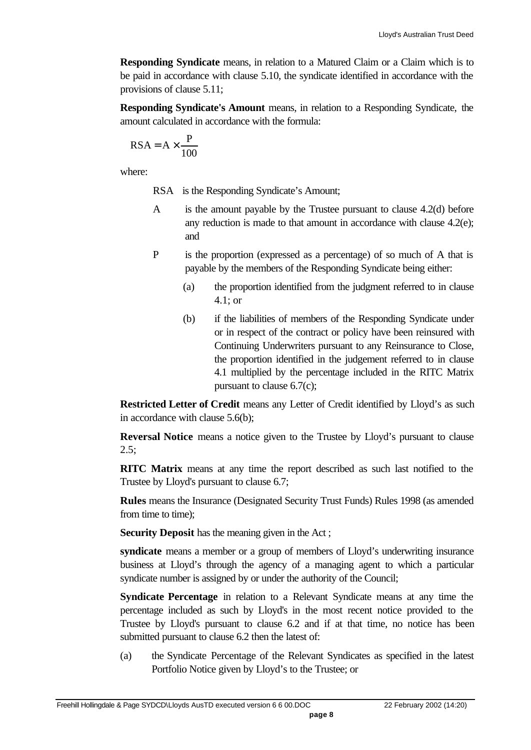**Responding Syndicate** means, in relation to a Matured Claim or a Claim which is to be paid in accordance with clause 5.10, the syndicate identified in accordance with the provisions of clause 5.11;

**Responding Syndicate's Amount** means, in relation to a Responding Syndicate, the amount calculated in accordance with the formula:

$$
RSA = A \times \frac{P}{100}
$$

where:

RSA is the Responding Syndicate's Amount;

- A is the amount payable by the Trustee pursuant to clause 4.2(d) before any reduction is made to that amount in accordance with clause 4.2(e); and
- P is the proportion (expressed as a percentage) of so much of A that is payable by the members of the Responding Syndicate being either:
	- (a) the proportion identified from the judgment referred to in clause 4.1; or
	- (b) if the liabilities of members of the Responding Syndicate under or in respect of the contract or policy have been reinsured with Continuing Underwriters pursuant to any Reinsurance to Close, the proportion identified in the judgement referred to in clause 4.1 multiplied by the percentage included in the RITC Matrix pursuant to clause 6.7(c);

**Restricted Letter of Credit** means any Letter of Credit identified by Lloyd's as such in accordance with clause 5.6(b);

**Reversal Notice** means a notice given to the Trustee by Lloyd's pursuant to clause  $2.5$ ;

**RITC Matrix** means at any time the report described as such last notified to the Trustee by Lloyd's pursuant to clause 6.7;

**Rules** means the Insurance (Designated Security Trust Funds) Rules 1998 (as amended from time to time);

**Security Deposit** has the meaning given in the Act ;

**syndicate** means a member or a group of members of Lloyd's underwriting insurance business at Lloyd's through the agency of a managing agent to which a particular syndicate number is assigned by or under the authority of the Council;

**Syndicate Percentage** in relation to a Relevant Syndicate means at any time the percentage included as such by Lloyd's in the most recent notice provided to the Trustee by Lloyd's pursuant to clause 6.2 and if at that time, no notice has been submitted pursuant to clause 6.2 then the latest of:

(a) the Syndicate Percentage of the Relevant Syndicates as specified in the latest Portfolio Notice given by Lloyd's to the Trustee; or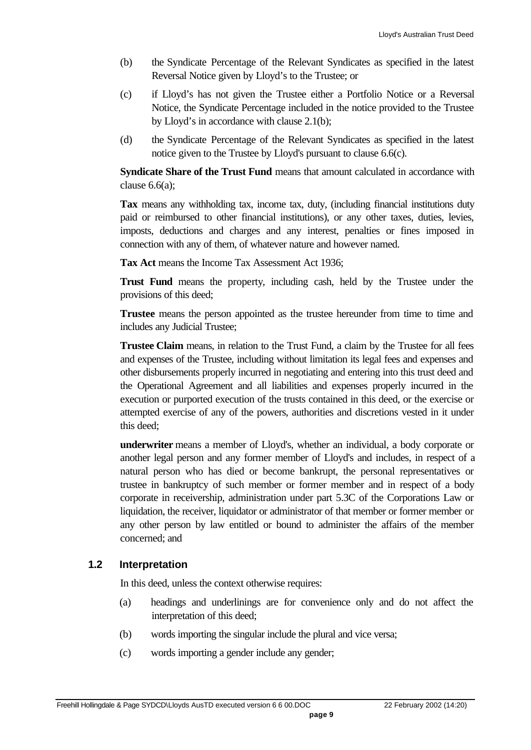- (b) the Syndicate Percentage of the Relevant Syndicates as specified in the latest Reversal Notice given by Lloyd's to the Trustee; or
- (c) if Lloyd's has not given the Trustee either a Portfolio Notice or a Reversal Notice, the Syndicate Percentage included in the notice provided to the Trustee by Lloyd's in accordance with clause 2.1(b);
- (d) the Syndicate Percentage of the Relevant Syndicates as specified in the latest notice given to the Trustee by Lloyd's pursuant to clause 6.6(c).

**Syndicate Share of the Trust Fund** means that amount calculated in accordance with clause 6.6(a);

**Tax** means any withholding tax, income tax, duty, (including financial institutions duty paid or reimbursed to other financial institutions), or any other taxes, duties, levies, imposts, deductions and charges and any interest, penalties or fines imposed in connection with any of them, of whatever nature and however named.

**Tax Act** means the Income Tax Assessment Act 1936;

**Trust Fund** means the property, including cash, held by the Trustee under the provisions of this deed;

**Trustee** means the person appointed as the trustee hereunder from time to time and includes any Judicial Trustee;

**Trustee Claim** means, in relation to the Trust Fund, a claim by the Trustee for all fees and expenses of the Trustee, including without limitation its legal fees and expenses and other disbursements properly incurred in negotiating and entering into this trust deed and the Operational Agreement and all liabilities and expenses properly incurred in the execution or purported execution of the trusts contained in this deed, or the exercise or attempted exercise of any of the powers, authorities and discretions vested in it under this deed;

**underwriter** means a member of Lloyd's, whether an individual, a body corporate or another legal person and any former member of Lloyd's and includes, in respect of a natural person who has died or become bankrupt, the personal representatives or trustee in bankruptcy of such member or former member and in respect of a body corporate in receivership, administration under part 5.3C of the Corporations Law or liquidation, the receiver, liquidator or administrator of that member or former member or any other person by law entitled or bound to administer the affairs of the member concerned; and

#### **1.2 Interpretation**

In this deed, unless the context otherwise requires:

- (a) headings and underlinings are for convenience only and do not affect the interpretation of this deed;
- (b) words importing the singular include the plural and vice versa;
- (c) words importing a gender include any gender;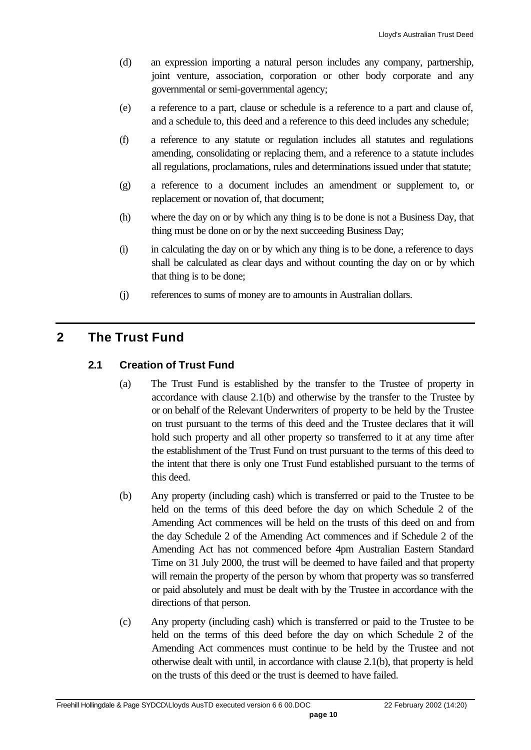- (d) an expression importing a natural person includes any company, partnership, joint venture, association, corporation or other body corporate and any governmental or semi-governmental agency;
- (e) a reference to a part, clause or schedule is a reference to a part and clause of, and a schedule to, this deed and a reference to this deed includes any schedule;
- (f) a reference to any statute or regulation includes all statutes and regulations amending, consolidating or replacing them, and a reference to a statute includes all regulations, proclamations, rules and determinations issued under that statute;
- (g) a reference to a document includes an amendment or supplement to, or replacement or novation of, that document;
- (h) where the day on or by which any thing is to be done is not a Business Day, that thing must be done on or by the next succeeding Business Day;
- (i) in calculating the day on or by which any thing is to be done, a reference to days shall be calculated as clear days and without counting the day on or by which that thing is to be done;
- (j) references to sums of money are to amounts in Australian dollars.

## **2 The Trust Fund**

## **2.1 Creation of Trust Fund**

- (a) The Trust Fund is established by the transfer to the Trustee of property in accordance with clause 2.1(b) and otherwise by the transfer to the Trustee by or on behalf of the Relevant Underwriters of property to be held by the Trustee on trust pursuant to the terms of this deed and the Trustee declares that it will hold such property and all other property so transferred to it at any time after the establishment of the Trust Fund on trust pursuant to the terms of this deed to the intent that there is only one Trust Fund established pursuant to the terms of this deed.
- (b) Any property (including cash) which is transferred or paid to the Trustee to be held on the terms of this deed before the day on which Schedule 2 of the Amending Act commences will be held on the trusts of this deed on and from the day Schedule 2 of the Amending Act commences and if Schedule 2 of the Amending Act has not commenced before 4pm Australian Eastern Standard Time on 31 July 2000, the trust will be deemed to have failed and that property will remain the property of the person by whom that property was so transferred or paid absolutely and must be dealt with by the Trustee in accordance with the directions of that person.
- (c) Any property (including cash) which is transferred or paid to the Trustee to be held on the terms of this deed before the day on which Schedule 2 of the Amending Act commences must continue to be held by the Trustee and not otherwise dealt with until, in accordance with clause 2.1(b), that property is held on the trusts of this deed or the trust is deemed to have failed.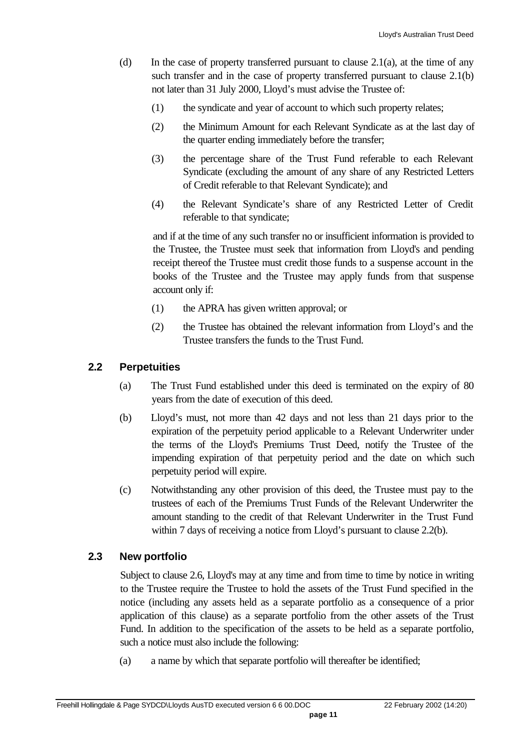- (d) In the case of property transferred pursuant to clause 2.1(a), at the time of any such transfer and in the case of property transferred pursuant to clause 2.1(b) not later than 31 July 2000, Lloyd's must advise the Trustee of:
	- (1) the syndicate and year of account to which such property relates;
	- (2) the Minimum Amount for each Relevant Syndicate as at the last day of the quarter ending immediately before the transfer;
	- (3) the percentage share of the Trust Fund referable to each Relevant Syndicate (excluding the amount of any share of any Restricted Letters of Credit referable to that Relevant Syndicate); and
	- (4) the Relevant Syndicate's share of any Restricted Letter of Credit referable to that syndicate;

and if at the time of any such transfer no or insufficient information is provided to the Trustee, the Trustee must seek that information from Lloyd's and pending receipt thereof the Trustee must credit those funds to a suspense account in the books of the Trustee and the Trustee may apply funds from that suspense account only if:

- (1) the APRA has given written approval; or
- (2) the Trustee has obtained the relevant information from Lloyd's and the Trustee transfers the funds to the Trust Fund.

#### **2.2 Perpetuities**

- (a) The Trust Fund established under this deed is terminated on the expiry of 80 years from the date of execution of this deed.
- (b) Lloyd's must, not more than 42 days and not less than 21 days prior to the expiration of the perpetuity period applicable to a Relevant Underwriter under the terms of the Lloyd's Premiums Trust Deed, notify the Trustee of the impending expiration of that perpetuity period and the date on which such perpetuity period will expire.
- (c) Notwithstanding any other provision of this deed, the Trustee must pay to the trustees of each of the Premiums Trust Funds of the Relevant Underwriter the amount standing to the credit of that Relevant Underwriter in the Trust Fund within 7 days of receiving a notice from Lloyd's pursuant to clause 2.2(b).

#### **2.3 New portfolio**

Subject to clause 2.6, Lloyd's may at any time and from time to time by notice in writing to the Trustee require the Trustee to hold the assets of the Trust Fund specified in the notice (including any assets held as a separate portfolio as a consequence of a prior application of this clause) as a separate portfolio from the other assets of the Trust Fund. In addition to the specification of the assets to be held as a separate portfolio, such a notice must also include the following:

(a) a name by which that separate portfolio will thereafter be identified;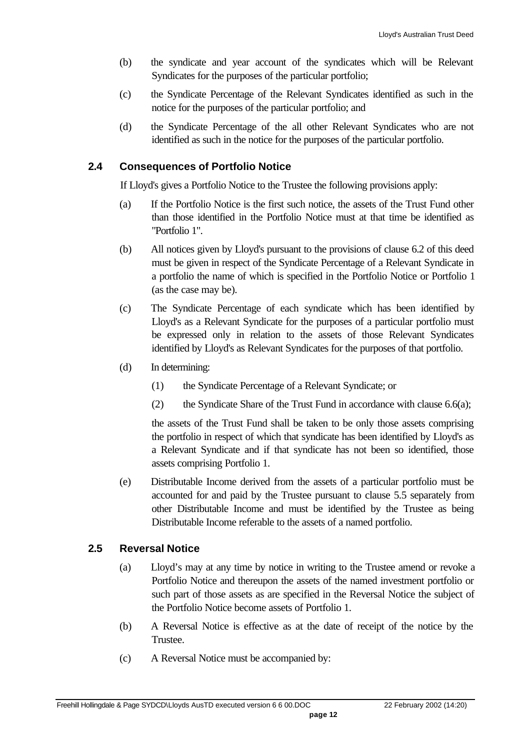- (b) the syndicate and year account of the syndicates which will be Relevant Syndicates for the purposes of the particular portfolio;
- (c) the Syndicate Percentage of the Relevant Syndicates identified as such in the notice for the purposes of the particular portfolio; and
- (d) the Syndicate Percentage of the all other Relevant Syndicates who are not identified as such in the notice for the purposes of the particular portfolio.

#### **2.4 Consequences of Portfolio Notice**

If Lloyd's gives a Portfolio Notice to the Trustee the following provisions apply:

- (a) If the Portfolio Notice is the first such notice, the assets of the Trust Fund other than those identified in the Portfolio Notice must at that time be identified as "Portfolio 1".
- (b) All notices given by Lloyd's pursuant to the provisions of clause 6.2 of this deed must be given in respect of the Syndicate Percentage of a Relevant Syndicate in a portfolio the name of which is specified in the Portfolio Notice or Portfolio 1 (as the case may be).
- (c) The Syndicate Percentage of each syndicate which has been identified by Lloyd's as a Relevant Syndicate for the purposes of a particular portfolio must be expressed only in relation to the assets of those Relevant Syndicates identified by Lloyd's as Relevant Syndicates for the purposes of that portfolio.
- (d) In determining:
	- (1) the Syndicate Percentage of a Relevant Syndicate; or
	- (2) the Syndicate Share of the Trust Fund in accordance with clause  $6.6(a)$ ;

the assets of the Trust Fund shall be taken to be only those assets comprising the portfolio in respect of which that syndicate has been identified by Lloyd's as a Relevant Syndicate and if that syndicate has not been so identified, those assets comprising Portfolio 1.

(e) Distributable Income derived from the assets of a particular portfolio must be accounted for and paid by the Trustee pursuant to clause 5.5 separately from other Distributable Income and must be identified by the Trustee as being Distributable Income referable to the assets of a named portfolio.

#### **2.5 Reversal Notice**

- (a) Lloyd's may at any time by notice in writing to the Trustee amend or revoke a Portfolio Notice and thereupon the assets of the named investment portfolio or such part of those assets as are specified in the Reversal Notice the subject of the Portfolio Notice become assets of Portfolio 1.
- (b) A Reversal Notice is effective as at the date of receipt of the notice by the Trustee.
- (c) A Reversal Notice must be accompanied by: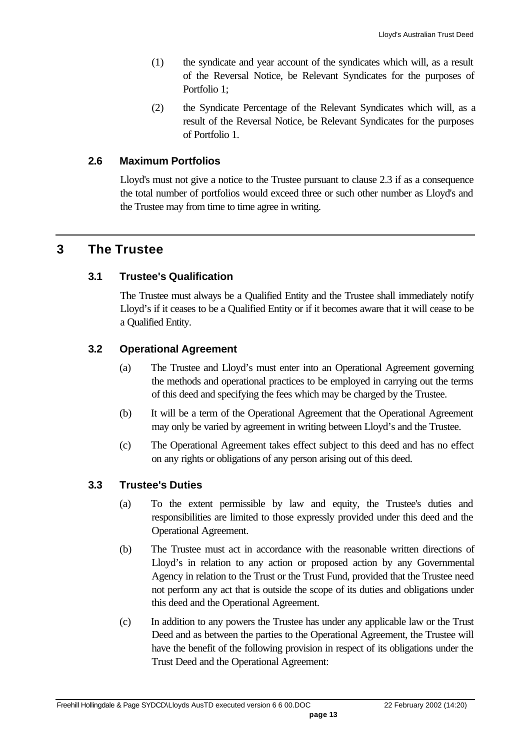- (1) the syndicate and year account of the syndicates which will, as a result of the Reversal Notice, be Relevant Syndicates for the purposes of Portfolio 1;
- (2) the Syndicate Percentage of the Relevant Syndicates which will, as a result of the Reversal Notice, be Relevant Syndicates for the purposes of Portfolio 1.

#### **2.6 Maximum Portfolios**

Lloyd's must not give a notice to the Trustee pursuant to clause 2.3 if as a consequence the total number of portfolios would exceed three or such other number as Lloyd's and the Trustee may from time to time agree in writing.

## **3 The Trustee**

#### **3.1 Trustee's Qualification**

The Trustee must always be a Qualified Entity and the Trustee shall immediately notify Lloyd's if it ceases to be a Qualified Entity or if it becomes aware that it will cease to be a Qualified Entity.

#### **3.2 Operational Agreement**

- (a) The Trustee and Lloyd's must enter into an Operational Agreement governing the methods and operational practices to be employed in carrying out the terms of this deed and specifying the fees which may be charged by the Trustee.
- (b) It will be a term of the Operational Agreement that the Operational Agreement may only be varied by agreement in writing between Lloyd's and the Trustee.
- (c) The Operational Agreement takes effect subject to this deed and has no effect on any rights or obligations of any person arising out of this deed.

## **3.3 Trustee's Duties**

- (a) To the extent permissible by law and equity, the Trustee's duties and responsibilities are limited to those expressly provided under this deed and the Operational Agreement.
- (b) The Trustee must act in accordance with the reasonable written directions of Lloyd's in relation to any action or proposed action by any Governmental Agency in relation to the Trust or the Trust Fund, provided that the Trustee need not perform any act that is outside the scope of its duties and obligations under this deed and the Operational Agreement.
- (c) In addition to any powers the Trustee has under any applicable law or the Trust Deed and as between the parties to the Operational Agreement, the Trustee will have the benefit of the following provision in respect of its obligations under the Trust Deed and the Operational Agreement: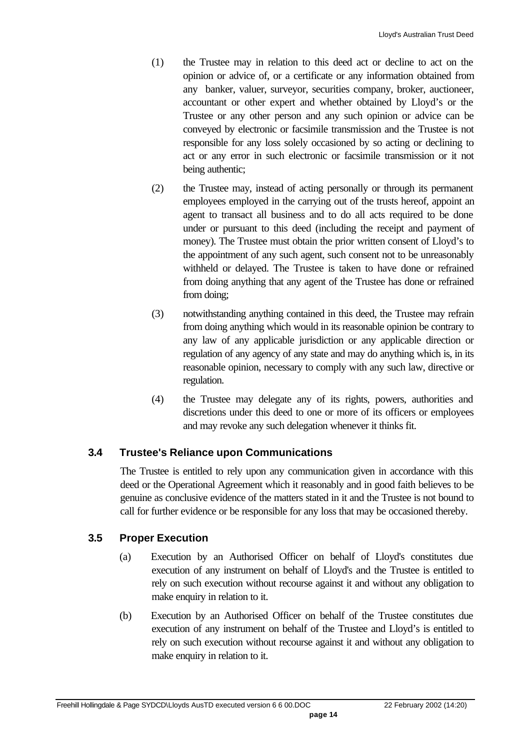- (1) the Trustee may in relation to this deed act or decline to act on the opinion or advice of, or a certificate or any information obtained from any banker, valuer, surveyor, securities company, broker, auctioneer, accountant or other expert and whether obtained by Lloyd's or the Trustee or any other person and any such opinion or advice can be conveyed by electronic or facsimile transmission and the Trustee is not responsible for any loss solely occasioned by so acting or declining to act or any error in such electronic or facsimile transmission or it not being authentic;
- (2) the Trustee may, instead of acting personally or through its permanent employees employed in the carrying out of the trusts hereof, appoint an agent to transact all business and to do all acts required to be done under or pursuant to this deed (including the receipt and payment of money). The Trustee must obtain the prior written consent of Lloyd's to the appointment of any such agent, such consent not to be unreasonably withheld or delayed. The Trustee is taken to have done or refrained from doing anything that any agent of the Trustee has done or refrained from doing;
- (3) notwithstanding anything contained in this deed, the Trustee may refrain from doing anything which would in its reasonable opinion be contrary to any law of any applicable jurisdiction or any applicable direction or regulation of any agency of any state and may do anything which is, in its reasonable opinion, necessary to comply with any such law, directive or regulation.
- (4) the Trustee may delegate any of its rights, powers, authorities and discretions under this deed to one or more of its officers or employees and may revoke any such delegation whenever it thinks fit.

#### **3.4 Trustee's Reliance upon Communications**

The Trustee is entitled to rely upon any communication given in accordance with this deed or the Operational Agreement which it reasonably and in good faith believes to be genuine as conclusive evidence of the matters stated in it and the Trustee is not bound to call for further evidence or be responsible for any loss that may be occasioned thereby.

## **3.5 Proper Execution**

- (a) Execution by an Authorised Officer on behalf of Lloyd's constitutes due execution of any instrument on behalf of Lloyd's and the Trustee is entitled to rely on such execution without recourse against it and without any obligation to make enquiry in relation to it.
- (b) Execution by an Authorised Officer on behalf of the Trustee constitutes due execution of any instrument on behalf of the Trustee and Lloyd's is entitled to rely on such execution without recourse against it and without any obligation to make enquiry in relation to it.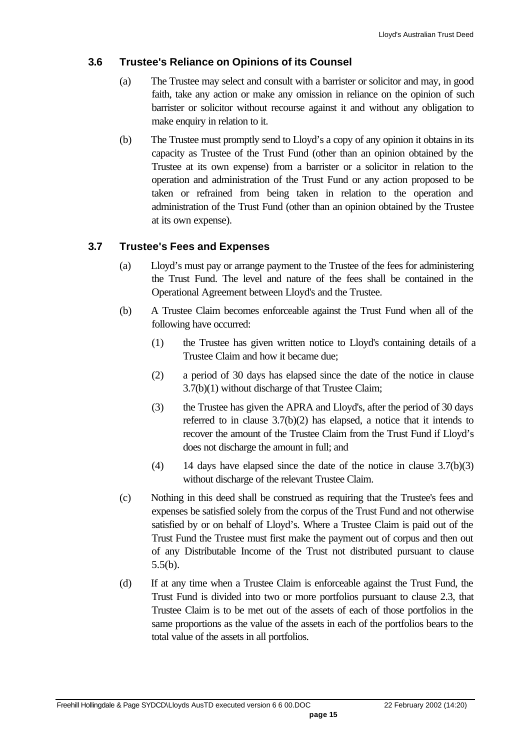#### **3.6 Trustee's Reliance on Opinions of its Counsel**

- (a) The Trustee may select and consult with a barrister or solicitor and may, in good faith, take any action or make any omission in reliance on the opinion of such barrister or solicitor without recourse against it and without any obligation to make enquiry in relation to it.
- (b) The Trustee must promptly send to Lloyd's a copy of any opinion it obtains in its capacity as Trustee of the Trust Fund (other than an opinion obtained by the Trustee at its own expense) from a barrister or a solicitor in relation to the operation and administration of the Trust Fund or any action proposed to be taken or refrained from being taken in relation to the operation and administration of the Trust Fund (other than an opinion obtained by the Trustee at its own expense).

#### **3.7 Trustee's Fees and Expenses**

- (a) Lloyd's must pay or arrange payment to the Trustee of the fees for administering the Trust Fund. The level and nature of the fees shall be contained in the Operational Agreement between Lloyd's and the Trustee.
- (b) A Trustee Claim becomes enforceable against the Trust Fund when all of the following have occurred:
	- (1) the Trustee has given written notice to Lloyd's containing details of a Trustee Claim and how it became due;
	- (2) a period of 30 days has elapsed since the date of the notice in clause 3.7(b)(1) without discharge of that Trustee Claim;
	- (3) the Trustee has given the APRA and Lloyd's, after the period of 30 days referred to in clause 3.7(b)(2) has elapsed, a notice that it intends to recover the amount of the Trustee Claim from the Trust Fund if Lloyd's does not discharge the amount in full; and
	- (4) 14 days have elapsed since the date of the notice in clause 3.7(b)(3) without discharge of the relevant Trustee Claim.
- (c) Nothing in this deed shall be construed as requiring that the Trustee's fees and expenses be satisfied solely from the corpus of the Trust Fund and not otherwise satisfied by or on behalf of Lloyd's. Where a Trustee Claim is paid out of the Trust Fund the Trustee must first make the payment out of corpus and then out of any Distributable Income of the Trust not distributed pursuant to clause 5.5(b).
- (d) If at any time when a Trustee Claim is enforceable against the Trust Fund, the Trust Fund is divided into two or more portfolios pursuant to clause 2.3, that Trustee Claim is to be met out of the assets of each of those portfolios in the same proportions as the value of the assets in each of the portfolios bears to the total value of the assets in all portfolios.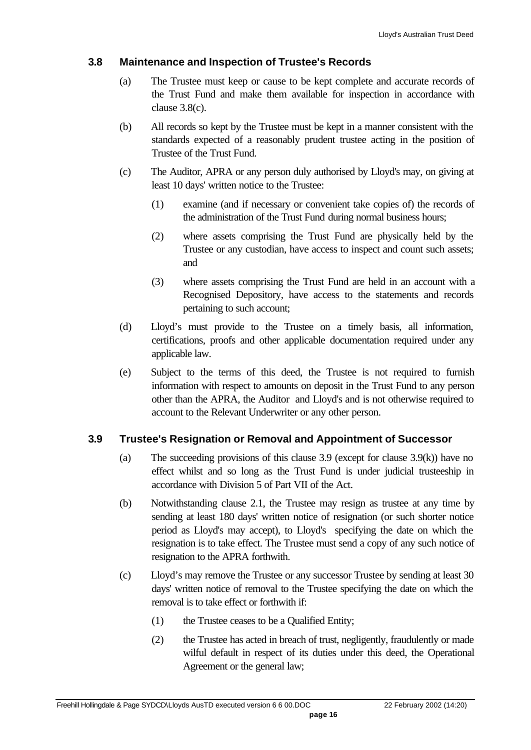#### **3.8 Maintenance and Inspection of Trustee's Records**

- (a) The Trustee must keep or cause to be kept complete and accurate records of the Trust Fund and make them available for inspection in accordance with clause 3.8(c).
- (b) All records so kept by the Trustee must be kept in a manner consistent with the standards expected of a reasonably prudent trustee acting in the position of Trustee of the Trust Fund.
- (c) The Auditor, APRA or any person duly authorised by Lloyd's may, on giving at least 10 days' written notice to the Trustee:
	- (1) examine (and if necessary or convenient take copies of) the records of the administration of the Trust Fund during normal business hours;
	- (2) where assets comprising the Trust Fund are physically held by the Trustee or any custodian, have access to inspect and count such assets; and
	- (3) where assets comprising the Trust Fund are held in an account with a Recognised Depository, have access to the statements and records pertaining to such account;
- (d) Lloyd's must provide to the Trustee on a timely basis, all information, certifications, proofs and other applicable documentation required under any applicable law.
- (e) Subject to the terms of this deed, the Trustee is not required to furnish information with respect to amounts on deposit in the Trust Fund to any person other than the APRA, the Auditor and Lloyd's and is not otherwise required to account to the Relevant Underwriter or any other person.

## **3.9 Trustee's Resignation or Removal and Appointment of Successor**

- (a) The succeeding provisions of this clause 3.9 (except for clause 3.9(k)) have no effect whilst and so long as the Trust Fund is under judicial trusteeship in accordance with Division 5 of Part VII of the Act.
- (b) Notwithstanding clause 2.1, the Trustee may resign as trustee at any time by sending at least 180 days' written notice of resignation (or such shorter notice period as Lloyd's may accept), to Lloyd's specifying the date on which the resignation is to take effect. The Trustee must send a copy of any such notice of resignation to the APRA forthwith.
- (c) Lloyd's may remove the Trustee or any successor Trustee by sending at least 30 days' written notice of removal to the Trustee specifying the date on which the removal is to take effect or forthwith if:
	- (1) the Trustee ceases to be a Qualified Entity;
	- (2) the Trustee has acted in breach of trust, negligently, fraudulently or made wilful default in respect of its duties under this deed, the Operational Agreement or the general law;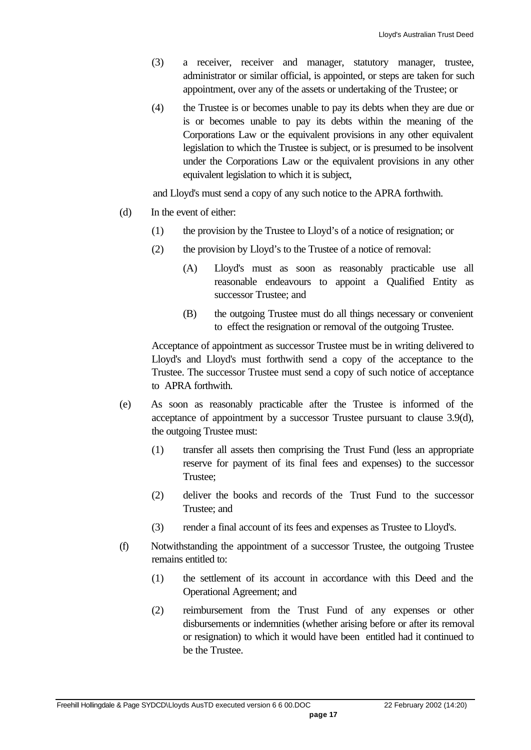- (3) a receiver, receiver and manager, statutory manager, trustee, administrator or similar official, is appointed, or steps are taken for such appointment, over any of the assets or undertaking of the Trustee; or
- (4) the Trustee is or becomes unable to pay its debts when they are due or is or becomes unable to pay its debts within the meaning of the Corporations Law or the equivalent provisions in any other equivalent legislation to which the Trustee is subject, or is presumed to be insolvent under the Corporations Law or the equivalent provisions in any other equivalent legislation to which it is subject,

and Lloyd's must send a copy of any such notice to the APRA forthwith.

- (d) In the event of either:
	- (1) the provision by the Trustee to Lloyd's of a notice of resignation; or
	- (2) the provision by Lloyd's to the Trustee of a notice of removal:
		- (A) Lloyd's must as soon as reasonably practicable use all reasonable endeavours to appoint a Qualified Entity as successor Trustee; and
		- (B) the outgoing Trustee must do all things necessary or convenient to effect the resignation or removal of the outgoing Trustee.

Acceptance of appointment as successor Trustee must be in writing delivered to Lloyd's and Lloyd's must forthwith send a copy of the acceptance to the Trustee. The successor Trustee must send a copy of such notice of acceptance to APRA forthwith.

- (e) As soon as reasonably practicable after the Trustee is informed of the acceptance of appointment by a successor Trustee pursuant to clause 3.9(d), the outgoing Trustee must:
	- (1) transfer all assets then comprising the Trust Fund (less an appropriate reserve for payment of its final fees and expenses) to the successor Trustee;
	- (2) deliver the books and records of the Trust Fund to the successor Trustee; and
	- (3) render a final account of its fees and expenses as Trustee to Lloyd's.
- (f) Notwithstanding the appointment of a successor Trustee, the outgoing Trustee remains entitled to:
	- (1) the settlement of its account in accordance with this Deed and the Operational Agreement; and
	- (2) reimbursement from the Trust Fund of any expenses or other disbursements or indemnities (whether arising before or after its removal or resignation) to which it would have been entitled had it continued to be the Trustee.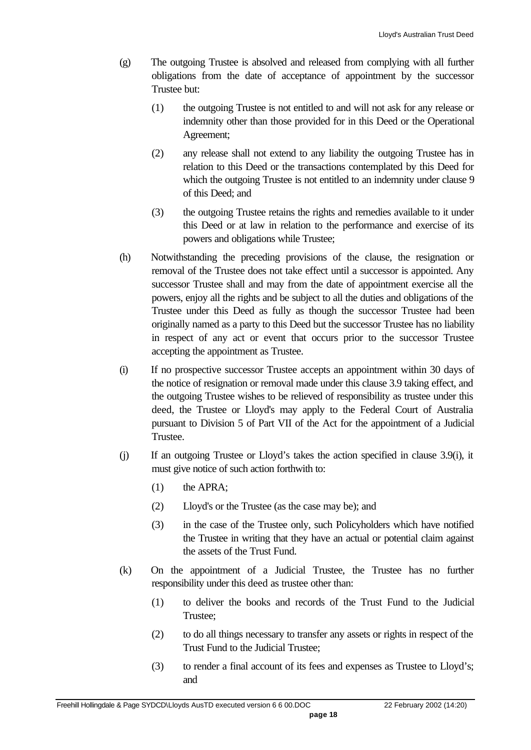- (g) The outgoing Trustee is absolved and released from complying with all further obligations from the date of acceptance of appointment by the successor Trustee but:
	- (1) the outgoing Trustee is not entitled to and will not ask for any release or indemnity other than those provided for in this Deed or the Operational Agreement;
	- (2) any release shall not extend to any liability the outgoing Trustee has in relation to this Deed or the transactions contemplated by this Deed for which the outgoing Trustee is not entitled to an indemnity under clause 9 of this Deed; and
	- (3) the outgoing Trustee retains the rights and remedies available to it under this Deed or at law in relation to the performance and exercise of its powers and obligations while Trustee;
- (h) Notwithstanding the preceding provisions of the clause, the resignation or removal of the Trustee does not take effect until a successor is appointed. Any successor Trustee shall and may from the date of appointment exercise all the powers, enjoy all the rights and be subject to all the duties and obligations of the Trustee under this Deed as fully as though the successor Trustee had been originally named as a party to this Deed but the successor Trustee has no liability in respect of any act or event that occurs prior to the successor Trustee accepting the appointment as Trustee.
- (i) If no prospective successor Trustee accepts an appointment within 30 days of the notice of resignation or removal made under this clause 3.9 taking effect, and the outgoing Trustee wishes to be relieved of responsibility as trustee under this deed, the Trustee or Lloyd's may apply to the Federal Court of Australia pursuant to Division 5 of Part VII of the Act for the appointment of a Judicial Trustee.
- (j) If an outgoing Trustee or Lloyd's takes the action specified in clause 3.9(i), it must give notice of such action forthwith to:
	- (1) the APRA;
	- (2) Lloyd's or the Trustee (as the case may be); and
	- (3) in the case of the Trustee only, such Policyholders which have notified the Trustee in writing that they have an actual or potential claim against the assets of the Trust Fund.
- (k) On the appointment of a Judicial Trustee, the Trustee has no further responsibility under this deed as trustee other than:
	- (1) to deliver the books and records of the Trust Fund to the Judicial Trustee;
	- (2) to do all things necessary to transfer any assets or rights in respect of the Trust Fund to the Judicial Trustee;
	- (3) to render a final account of its fees and expenses as Trustee to Lloyd's; and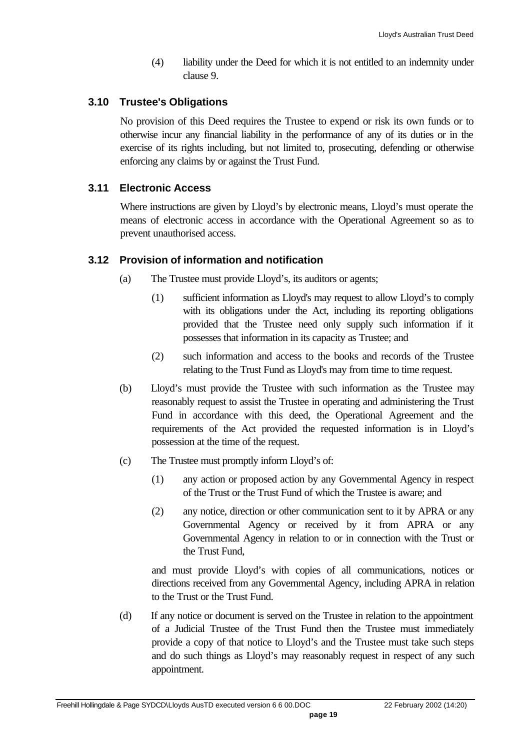(4) liability under the Deed for which it is not entitled to an indemnity under clause 9.

#### **3.10 Trustee's Obligations**

No provision of this Deed requires the Trustee to expend or risk its own funds or to otherwise incur any financial liability in the performance of any of its duties or in the exercise of its rights including, but not limited to, prosecuting, defending or otherwise enforcing any claims by or against the Trust Fund.

#### **3.11 Electronic Access**

Where instructions are given by Lloyd's by electronic means, Lloyd's must operate the means of electronic access in accordance with the Operational Agreement so as to prevent unauthorised access.

#### **3.12 Provision of information and notification**

- (a) The Trustee must provide Lloyd's, its auditors or agents;
	- (1) sufficient information as Lloyd's may request to allow Lloyd's to comply with its obligations under the Act, including its reporting obligations provided that the Trustee need only supply such information if it possesses that information in its capacity as Trustee; and
	- (2) such information and access to the books and records of the Trustee relating to the Trust Fund as Lloyd's may from time to time request.
- (b) Lloyd's must provide the Trustee with such information as the Trustee may reasonably request to assist the Trustee in operating and administering the Trust Fund in accordance with this deed, the Operational Agreement and the requirements of the Act provided the requested information is in Lloyd's possession at the time of the request.
- (c) The Trustee must promptly inform Lloyd's of:
	- (1) any action or proposed action by any Governmental Agency in respect of the Trust or the Trust Fund of which the Trustee is aware; and
	- (2) any notice, direction or other communication sent to it by APRA or any Governmental Agency or received by it from APRA or any Governmental Agency in relation to or in connection with the Trust or the Trust Fund,

and must provide Lloyd's with copies of all communications, notices or directions received from any Governmental Agency, including APRA in relation to the Trust or the Trust Fund.

(d) If any notice or document is served on the Trustee in relation to the appointment of a Judicial Trustee of the Trust Fund then the Trustee must immediately provide a copy of that notice to Lloyd's and the Trustee must take such steps and do such things as Lloyd's may reasonably request in respect of any such appointment.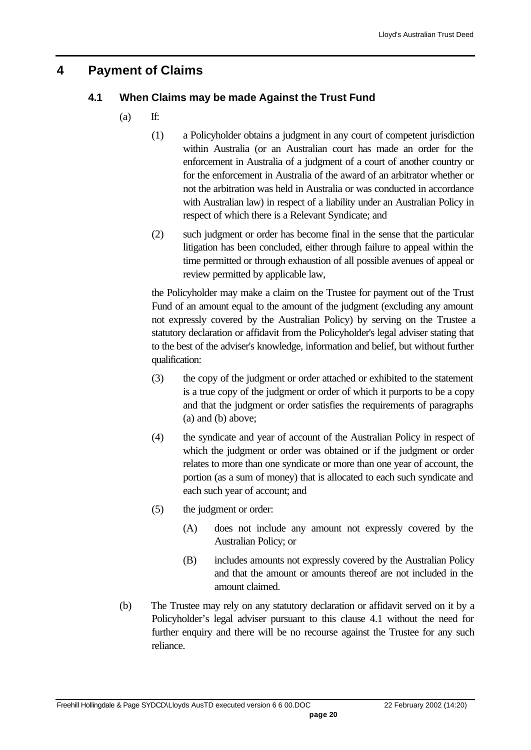## **4 Payment of Claims**

## **4.1 When Claims may be made Against the Trust Fund**

- $(a)$  If:
	- (1) a Policyholder obtains a judgment in any court of competent jurisdiction within Australia (or an Australian court has made an order for the enforcement in Australia of a judgment of a court of another country or for the enforcement in Australia of the award of an arbitrator whether or not the arbitration was held in Australia or was conducted in accordance with Australian law) in respect of a liability under an Australian Policy in respect of which there is a Relevant Syndicate; and
	- (2) such judgment or order has become final in the sense that the particular litigation has been concluded, either through failure to appeal within the time permitted or through exhaustion of all possible avenues of appeal or review permitted by applicable law,

the Policyholder may make a claim on the Trustee for payment out of the Trust Fund of an amount equal to the amount of the judgment (excluding any amount not expressly covered by the Australian Policy) by serving on the Trustee a statutory declaration or affidavit from the Policyholder's legal adviser stating that to the best of the adviser's knowledge, information and belief, but without further qualification:

- (3) the copy of the judgment or order attached or exhibited to the statement is a true copy of the judgment or order of which it purports to be a copy and that the judgment or order satisfies the requirements of paragraphs (a) and (b) above;
- (4) the syndicate and year of account of the Australian Policy in respect of which the judgment or order was obtained or if the judgment or order relates to more than one syndicate or more than one year of account, the portion (as a sum of money) that is allocated to each such syndicate and each such year of account; and
- (5) the judgment or order:
	- (A) does not include any amount not expressly covered by the Australian Policy; or
	- (B) includes amounts not expressly covered by the Australian Policy and that the amount or amounts thereof are not included in the amount claimed.
- (b) The Trustee may rely on any statutory declaration or affidavit served on it by a Policyholder's legal adviser pursuant to this clause 4.1 without the need for further enquiry and there will be no recourse against the Trustee for any such reliance.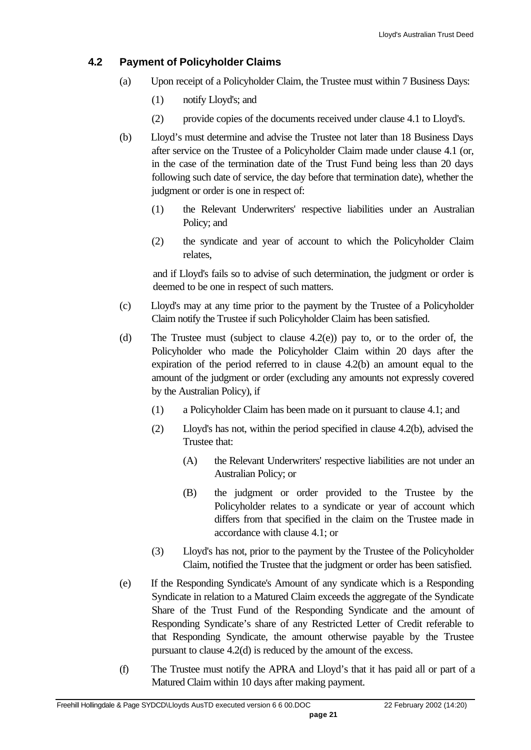#### **4.2 Payment of Policyholder Claims**

- (a) Upon receipt of a Policyholder Claim, the Trustee must within 7 Business Days:
	- (1) notify Lloyd's; and
	- (2) provide copies of the documents received under clause 4.1 to Lloyd's.
- (b) Lloyd's must determine and advise the Trustee not later than 18 Business Days after service on the Trustee of a Policyholder Claim made under clause 4.1 (or, in the case of the termination date of the Trust Fund being less than 20 days following such date of service, the day before that termination date), whether the judgment or order is one in respect of:
	- (1) the Relevant Underwriters' respective liabilities under an Australian Policy; and
	- (2) the syndicate and year of account to which the Policyholder Claim relates,

and if Lloyd's fails so to advise of such determination, the judgment or order is deemed to be one in respect of such matters.

- (c) Lloyd's may at any time prior to the payment by the Trustee of a Policyholder Claim notify the Trustee if such Policyholder Claim has been satisfied.
- (d) The Trustee must (subject to clause 4.2(e)) pay to, or to the order of, the Policyholder who made the Policyholder Claim within 20 days after the expiration of the period referred to in clause 4.2(b) an amount equal to the amount of the judgment or order (excluding any amounts not expressly covered by the Australian Policy), if
	- (1) a Policyholder Claim has been made on it pursuant to clause 4.1; and
	- (2) Lloyd's has not, within the period specified in clause 4.2(b), advised the Trustee that:
		- (A) the Relevant Underwriters' respective liabilities are not under an Australian Policy; or
		- (B) the judgment or order provided to the Trustee by the Policyholder relates to a syndicate or year of account which differs from that specified in the claim on the Trustee made in accordance with clause 4.1; or
	- (3) Lloyd's has not, prior to the payment by the Trustee of the Policyholder Claim, notified the Trustee that the judgment or order has been satisfied.
- (e) If the Responding Syndicate's Amount of any syndicate which is a Responding Syndicate in relation to a Matured Claim exceeds the aggregate of the Syndicate Share of the Trust Fund of the Responding Syndicate and the amount of Responding Syndicate's share of any Restricted Letter of Credit referable to that Responding Syndicate, the amount otherwise payable by the Trustee pursuant to clause 4.2(d) is reduced by the amount of the excess.
- (f) The Trustee must notify the APRA and Lloyd's that it has paid all or part of a Matured Claim within 10 days after making payment.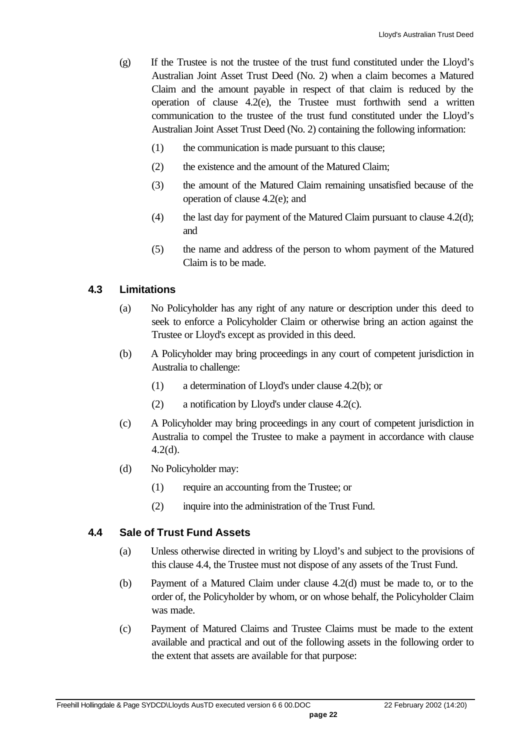- (g) If the Trustee is not the trustee of the trust fund constituted under the Lloyd's Australian Joint Asset Trust Deed (No. 2) when a claim becomes a Matured Claim and the amount payable in respect of that claim is reduced by the operation of clause 4.2(e), the Trustee must forthwith send a written communication to the trustee of the trust fund constituted under the Lloyd's Australian Joint Asset Trust Deed (No. 2) containing the following information:
	- (1) the communication is made pursuant to this clause;
	- (2) the existence and the amount of the Matured Claim;
	- (3) the amount of the Matured Claim remaining unsatisfied because of the operation of clause 4.2(e); and
	- (4) the last day for payment of the Matured Claim pursuant to clause  $4.2(d)$ ; and
	- (5) the name and address of the person to whom payment of the Matured Claim is to be made.

#### **4.3 Limitations**

- (a) No Policyholder has any right of any nature or description under this deed to seek to enforce a Policyholder Claim or otherwise bring an action against the Trustee or Lloyd's except as provided in this deed.
- (b) A Policyholder may bring proceedings in any court of competent jurisdiction in Australia to challenge:
	- (1) a determination of Lloyd's under clause 4.2(b); or
	- (2) a notification by Lloyd's under clause 4.2(c).
- (c) A Policyholder may bring proceedings in any court of competent jurisdiction in Australia to compel the Trustee to make a payment in accordance with clause 4.2(d).
- (d) No Policyholder may:
	- (1) require an accounting from the Trustee; or
	- (2) inquire into the administration of the Trust Fund.

#### **4.4 Sale of Trust Fund Assets**

- (a) Unless otherwise directed in writing by Lloyd's and subject to the provisions of this clause 4.4, the Trustee must not dispose of any assets of the Trust Fund.
- (b) Payment of a Matured Claim under clause 4.2(d) must be made to, or to the order of, the Policyholder by whom, or on whose behalf, the Policyholder Claim was made.
- (c) Payment of Matured Claims and Trustee Claims must be made to the extent available and practical and out of the following assets in the following order to the extent that assets are available for that purpose: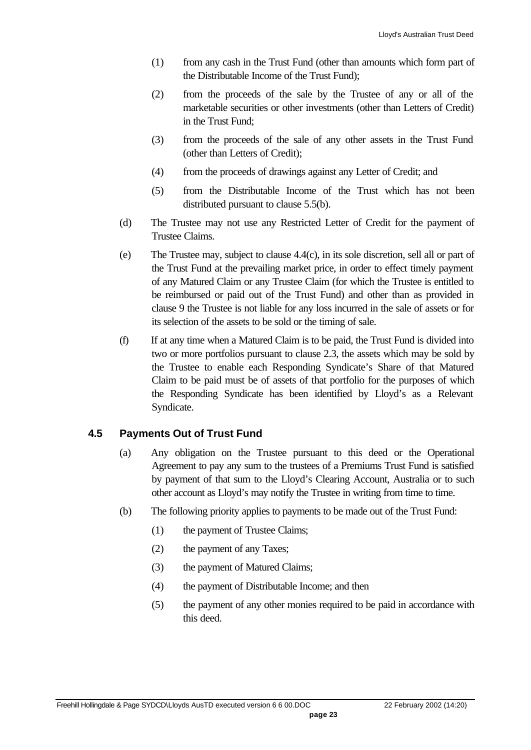- (1) from any cash in the Trust Fund (other than amounts which form part of the Distributable Income of the Trust Fund);
- (2) from the proceeds of the sale by the Trustee of any or all of the marketable securities or other investments (other than Letters of Credit) in the Trust Fund;
- (3) from the proceeds of the sale of any other assets in the Trust Fund (other than Letters of Credit);
- (4) from the proceeds of drawings against any Letter of Credit; and
- (5) from the Distributable Income of the Trust which has not been distributed pursuant to clause 5.5(b).
- (d) The Trustee may not use any Restricted Letter of Credit for the payment of Trustee Claims.
- (e) The Trustee may, subject to clause 4.4(c), in its sole discretion, sell all or part of the Trust Fund at the prevailing market price, in order to effect timely payment of any Matured Claim or any Trustee Claim (for which the Trustee is entitled to be reimbursed or paid out of the Trust Fund) and other than as provided in clause 9 the Trustee is not liable for any loss incurred in the sale of assets or for its selection of the assets to be sold or the timing of sale.
- (f) If at any time when a Matured Claim is to be paid, the Trust Fund is divided into two or more portfolios pursuant to clause 2.3, the assets which may be sold by the Trustee to enable each Responding Syndicate's Share of that Matured Claim to be paid must be of assets of that portfolio for the purposes of which the Responding Syndicate has been identified by Lloyd's as a Relevant Syndicate.

#### **4.5 Payments Out of Trust Fund**

- (a) Any obligation on the Trustee pursuant to this deed or the Operational Agreement to pay any sum to the trustees of a Premiums Trust Fund is satisfied by payment of that sum to the Lloyd's Clearing Account, Australia or to such other account as Lloyd's may notify the Trustee in writing from time to time.
- (b) The following priority applies to payments to be made out of the Trust Fund:
	- (1) the payment of Trustee Claims;
	- (2) the payment of any Taxes;
	- (3) the payment of Matured Claims;
	- (4) the payment of Distributable Income; and then
	- (5) the payment of any other monies required to be paid in accordance with this deed.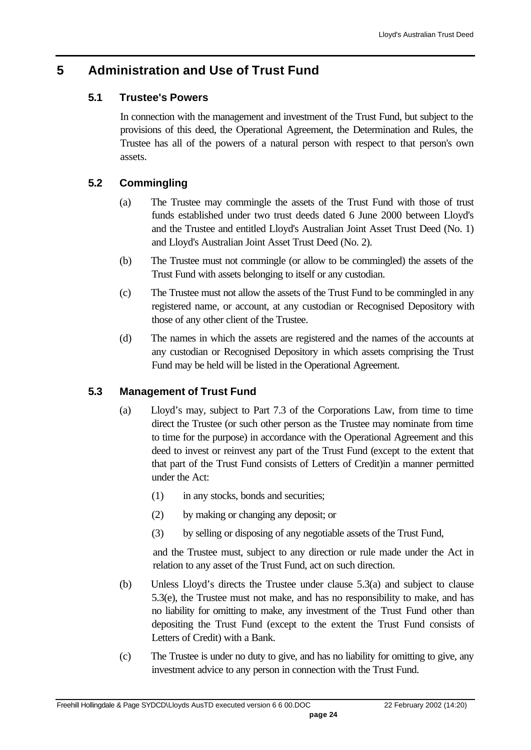# **5 Administration and Use of Trust Fund**

## **5.1 Trustee's Powers**

In connection with the management and investment of the Trust Fund, but subject to the provisions of this deed, the Operational Agreement, the Determination and Rules, the Trustee has all of the powers of a natural person with respect to that person's own assets.

## **5.2 Commingling**

- (a) The Trustee may commingle the assets of the Trust Fund with those of trust funds established under two trust deeds dated 6 June 2000 between Lloyd's and the Trustee and entitled Lloyd's Australian Joint Asset Trust Deed (No. 1) and Lloyd's Australian Joint Asset Trust Deed (No. 2).
- (b) The Trustee must not commingle (or allow to be commingled) the assets of the Trust Fund with assets belonging to itself or any custodian.
- (c) The Trustee must not allow the assets of the Trust Fund to be commingled in any registered name, or account, at any custodian or Recognised Depository with those of any other client of the Trustee.
- (d) The names in which the assets are registered and the names of the accounts at any custodian or Recognised Depository in which assets comprising the Trust Fund may be held will be listed in the Operational Agreement.

## **5.3 Management of Trust Fund**

- (a) Lloyd's may, subject to Part 7.3 of the Corporations Law, from time to time direct the Trustee (or such other person as the Trustee may nominate from time to time for the purpose) in accordance with the Operational Agreement and this deed to invest or reinvest any part of the Trust Fund (except to the extent that that part of the Trust Fund consists of Letters of Credit)in a manner permitted under the Act:
	- (1) in any stocks, bonds and securities;
	- (2) by making or changing any deposit; or
	- (3) by selling or disposing of any negotiable assets of the Trust Fund,

and the Trustee must, subject to any direction or rule made under the Act in relation to any asset of the Trust Fund, act on such direction.

- (b) Unless Lloyd's directs the Trustee under clause 5.3(a) and subject to clause 5.3(e), the Trustee must not make, and has no responsibility to make, and has no liability for omitting to make, any investment of the Trust Fund other than depositing the Trust Fund (except to the extent the Trust Fund consists of Letters of Credit) with a Bank.
- (c) The Trustee is under no duty to give, and has no liability for omitting to give, any investment advice to any person in connection with the Trust Fund.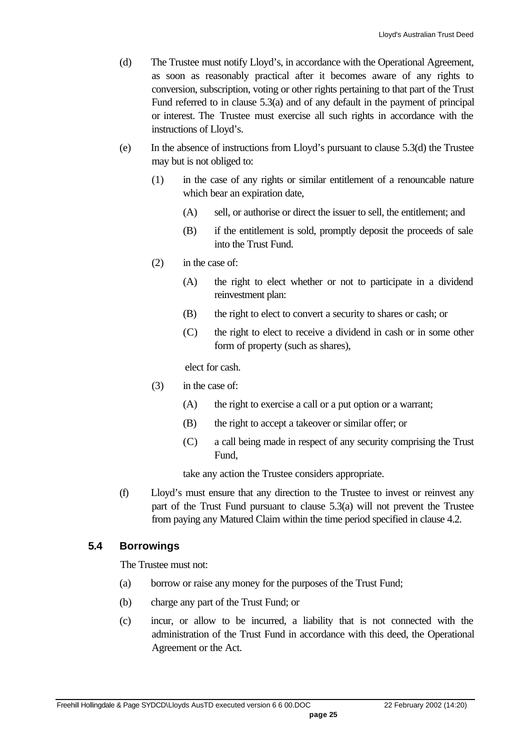- (d) The Trustee must notify Lloyd's, in accordance with the Operational Agreement, as soon as reasonably practical after it becomes aware of any rights to conversion, subscription, voting or other rights pertaining to that part of the Trust Fund referred to in clause 5.3(a) and of any default in the payment of principal or interest. The Trustee must exercise all such rights in accordance with the instructions of Lloyd's.
- (e) In the absence of instructions from Lloyd's pursuant to clause 5.3(d) the Trustee may but is not obliged to:
	- (1) in the case of any rights or similar entitlement of a renouncable nature which bear an expiration date,
		- (A) sell, or authorise or direct the issuer to sell, the entitlement; and
		- (B) if the entitlement is sold, promptly deposit the proceeds of sale into the Trust Fund.
	- (2) in the case of:
		- (A) the right to elect whether or not to participate in a dividend reinvestment plan:
		- (B) the right to elect to convert a security to shares or cash; or
		- (C) the right to elect to receive a dividend in cash or in some other form of property (such as shares),

elect for cash.

- (3) in the case of:
	- (A) the right to exercise a call or a put option or a warrant;
	- (B) the right to accept a takeover or similar offer; or
	- (C) a call being made in respect of any security comprising the Trust Fund,

take any action the Trustee considers appropriate.

(f) Lloyd's must ensure that any direction to the Trustee to invest or reinvest any part of the Trust Fund pursuant to clause 5.3(a) will not prevent the Trustee from paying any Matured Claim within the time period specified in clause 4.2.

#### **5.4 Borrowings**

The Trustee must not:

- (a) borrow or raise any money for the purposes of the Trust Fund;
- (b) charge any part of the Trust Fund; or
- (c) incur, or allow to be incurred, a liability that is not connected with the administration of the Trust Fund in accordance with this deed, the Operational Agreement or the Act.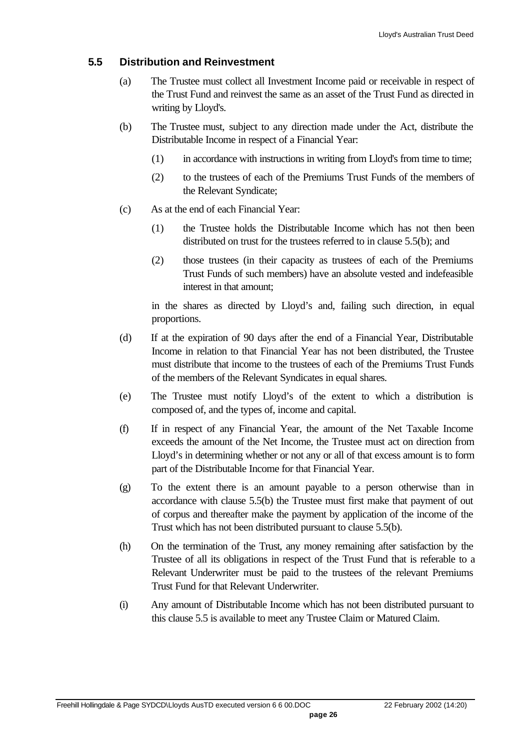#### **5.5 Distribution and Reinvestment**

- (a) The Trustee must collect all Investment Income paid or receivable in respect of the Trust Fund and reinvest the same as an asset of the Trust Fund as directed in writing by Lloyd's.
- (b) The Trustee must, subject to any direction made under the Act, distribute the Distributable Income in respect of a Financial Year:
	- (1) in accordance with instructions in writing from Lloyd's from time to time;
	- (2) to the trustees of each of the Premiums Trust Funds of the members of the Relevant Syndicate;
- (c) As at the end of each Financial Year:
	- (1) the Trustee holds the Distributable Income which has not then been distributed on trust for the trustees referred to in clause 5.5(b); and
	- (2) those trustees (in their capacity as trustees of each of the Premiums Trust Funds of such members) have an absolute vested and indefeasible interest in that amount;

in the shares as directed by Lloyd's and, failing such direction, in equal proportions.

- (d) If at the expiration of 90 days after the end of a Financial Year, Distributable Income in relation to that Financial Year has not been distributed, the Trustee must distribute that income to the trustees of each of the Premiums Trust Funds of the members of the Relevant Syndicates in equal shares.
- (e) The Trustee must notify Lloyd's of the extent to which a distribution is composed of, and the types of, income and capital.
- (f) If in respect of any Financial Year, the amount of the Net Taxable Income exceeds the amount of the Net Income, the Trustee must act on direction from Lloyd's in determining whether or not any or all of that excess amount is to form part of the Distributable Income for that Financial Year.
- (g) To the extent there is an amount payable to a person otherwise than in accordance with clause 5.5(b) the Trustee must first make that payment of out of corpus and thereafter make the payment by application of the income of the Trust which has not been distributed pursuant to clause 5.5(b).
- (h) On the termination of the Trust, any money remaining after satisfaction by the Trustee of all its obligations in respect of the Trust Fund that is referable to a Relevant Underwriter must be paid to the trustees of the relevant Premiums Trust Fund for that Relevant Underwriter.
- (i) Any amount of Distributable Income which has not been distributed pursuant to this clause 5.5 is available to meet any Trustee Claim or Matured Claim.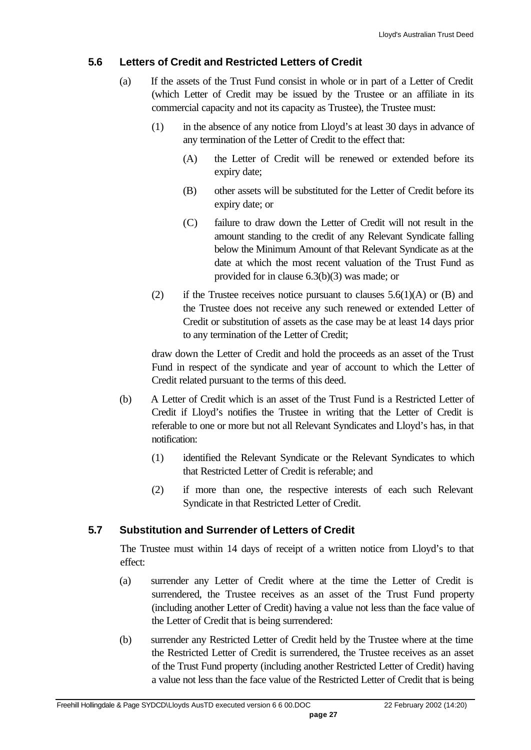#### **5.6 Letters of Credit and Restricted Letters of Credit**

- (a) If the assets of the Trust Fund consist in whole or in part of a Letter of Credit (which Letter of Credit may be issued by the Trustee or an affiliate in its commercial capacity and not its capacity as Trustee), the Trustee must:
	- (1) in the absence of any notice from Lloyd's at least 30 days in advance of any termination of the Letter of Credit to the effect that:
		- (A) the Letter of Credit will be renewed or extended before its expiry date;
		- (B) other assets will be substituted for the Letter of Credit before its expiry date; or
		- (C) failure to draw down the Letter of Credit will not result in the amount standing to the credit of any Relevant Syndicate falling below the Minimum Amount of that Relevant Syndicate as at the date at which the most recent valuation of the Trust Fund as provided for in clause 6.3(b)(3) was made; or
	- (2) if the Trustee receives notice pursuant to clauses  $5.6(1)(A)$  or (B) and the Trustee does not receive any such renewed or extended Letter of Credit or substitution of assets as the case may be at least 14 days prior to any termination of the Letter of Credit;

draw down the Letter of Credit and hold the proceeds as an asset of the Trust Fund in respect of the syndicate and year of account to which the Letter of Credit related pursuant to the terms of this deed.

- (b) A Letter of Credit which is an asset of the Trust Fund is a Restricted Letter of Credit if Lloyd's notifies the Trustee in writing that the Letter of Credit is referable to one or more but not all Relevant Syndicates and Lloyd's has, in that notification:
	- (1) identified the Relevant Syndicate or the Relevant Syndicates to which that Restricted Letter of Credit is referable; and
	- (2) if more than one, the respective interests of each such Relevant Syndicate in that Restricted Letter of Credit.

#### **5.7 Substitution and Surrender of Letters of Credit**

The Trustee must within 14 days of receipt of a written notice from Lloyd's to that effect:

- (a) surrender any Letter of Credit where at the time the Letter of Credit is surrendered, the Trustee receives as an asset of the Trust Fund property (including another Letter of Credit) having a value not less than the face value of the Letter of Credit that is being surrendered:
- (b) surrender any Restricted Letter of Credit held by the Trustee where at the time the Restricted Letter of Credit is surrendered, the Trustee receives as an asset of the Trust Fund property (including another Restricted Letter of Credit) having a value not less than the face value of the Restricted Letter of Credit that is being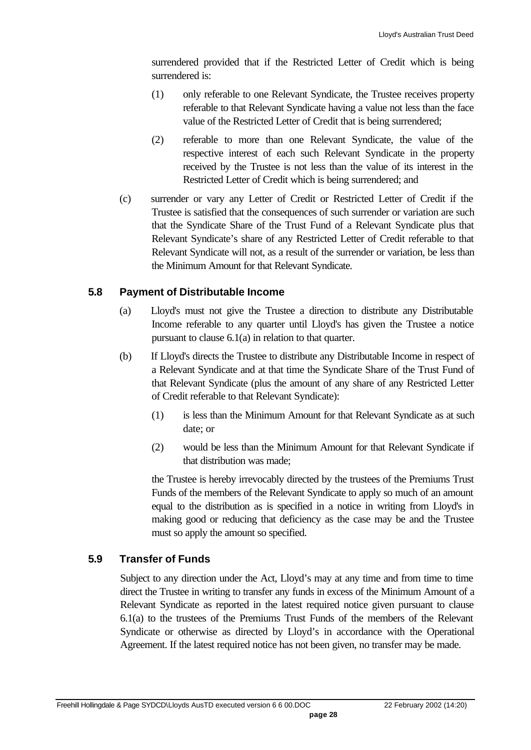surrendered provided that if the Restricted Letter of Credit which is being surrendered is:

- (1) only referable to one Relevant Syndicate, the Trustee receives property referable to that Relevant Syndicate having a value not less than the face value of the Restricted Letter of Credit that is being surrendered;
- (2) referable to more than one Relevant Syndicate, the value of the respective interest of each such Relevant Syndicate in the property received by the Trustee is not less than the value of its interest in the Restricted Letter of Credit which is being surrendered; and
- (c) surrender or vary any Letter of Credit or Restricted Letter of Credit if the Trustee is satisfied that the consequences of such surrender or variation are such that the Syndicate Share of the Trust Fund of a Relevant Syndicate plus that Relevant Syndicate's share of any Restricted Letter of Credit referable to that Relevant Syndicate will not, as a result of the surrender or variation, be less than the Minimum Amount for that Relevant Syndicate.

#### **5.8 Payment of Distributable Income**

- (a) Lloyd's must not give the Trustee a direction to distribute any Distributable Income referable to any quarter until Lloyd's has given the Trustee a notice pursuant to clause 6.1(a) in relation to that quarter.
- (b) If Lloyd's directs the Trustee to distribute any Distributable Income in respect of a Relevant Syndicate and at that time the Syndicate Share of the Trust Fund of that Relevant Syndicate (plus the amount of any share of any Restricted Letter of Credit referable to that Relevant Syndicate):
	- (1) is less than the Minimum Amount for that Relevant Syndicate as at such date; or
	- (2) would be less than the Minimum Amount for that Relevant Syndicate if that distribution was made;

the Trustee is hereby irrevocably directed by the trustees of the Premiums Trust Funds of the members of the Relevant Syndicate to apply so much of an amount equal to the distribution as is specified in a notice in writing from Lloyd's in making good or reducing that deficiency as the case may be and the Trustee must so apply the amount so specified.

#### **5.9 Transfer of Funds**

Subject to any direction under the Act, Lloyd's may at any time and from time to time direct the Trustee in writing to transfer any funds in excess of the Minimum Amount of a Relevant Syndicate as reported in the latest required notice given pursuant to clause 6.1(a) to the trustees of the Premiums Trust Funds of the members of the Relevant Syndicate or otherwise as directed by Lloyd's in accordance with the Operational Agreement. If the latest required notice has not been given, no transfer may be made.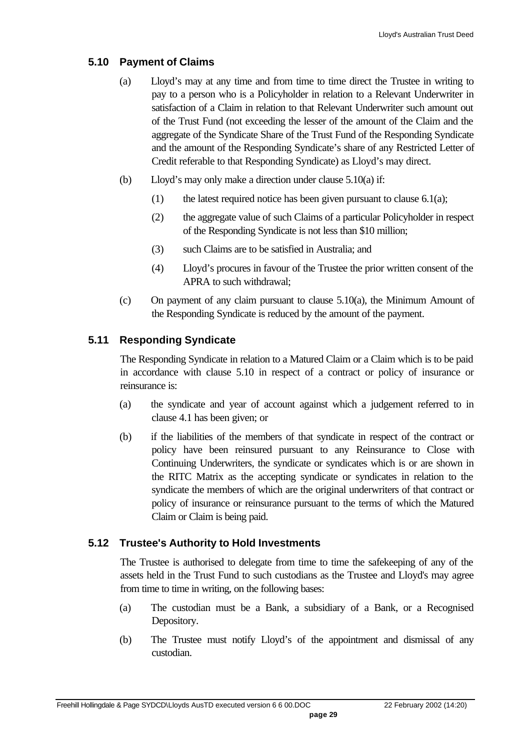### **5.10 Payment of Claims**

- (a) Lloyd's may at any time and from time to time direct the Trustee in writing to pay to a person who is a Policyholder in relation to a Relevant Underwriter in satisfaction of a Claim in relation to that Relevant Underwriter such amount out of the Trust Fund (not exceeding the lesser of the amount of the Claim and the aggregate of the Syndicate Share of the Trust Fund of the Responding Syndicate and the amount of the Responding Syndicate's share of any Restricted Letter of Credit referable to that Responding Syndicate) as Lloyd's may direct.
- (b) Lloyd's may only make a direction under clause 5.10(a) if:
	- (1) the latest required notice has been given pursuant to clause  $6.1(a)$ ;
	- (2) the aggregate value of such Claims of a particular Policyholder in respect of the Responding Syndicate is not less than \$10 million;
	- (3) such Claims are to be satisfied in Australia; and
	- (4) Lloyd's procures in favour of the Trustee the prior written consent of the APRA to such withdrawal;
- (c) On payment of any claim pursuant to clause 5.10(a), the Minimum Amount of the Responding Syndicate is reduced by the amount of the payment.

## **5.11 Responding Syndicate**

The Responding Syndicate in relation to a Matured Claim or a Claim which is to be paid in accordance with clause 5.10 in respect of a contract or policy of insurance or reinsurance is:

- (a) the syndicate and year of account against which a judgement referred to in clause 4.1 has been given; or
- (b) if the liabilities of the members of that syndicate in respect of the contract or policy have been reinsured pursuant to any Reinsurance to Close with Continuing Underwriters, the syndicate or syndicates which is or are shown in the RITC Matrix as the accepting syndicate or syndicates in relation to the syndicate the members of which are the original underwriters of that contract or policy of insurance or reinsurance pursuant to the terms of which the Matured Claim or Claim is being paid.

## **5.12 Trustee's Authority to Hold Investments**

The Trustee is authorised to delegate from time to time the safekeeping of any of the assets held in the Trust Fund to such custodians as the Trustee and Lloyd's may agree from time to time in writing, on the following bases:

- (a) The custodian must be a Bank, a subsidiary of a Bank, or a Recognised Depository.
- (b) The Trustee must notify Lloyd's of the appointment and dismissal of any custodian.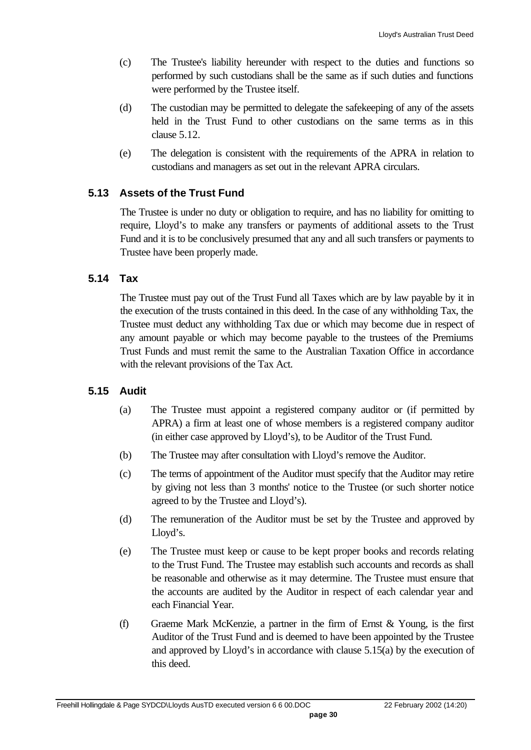- (c) The Trustee's liability hereunder with respect to the duties and functions so performed by such custodians shall be the same as if such duties and functions were performed by the Trustee itself.
- (d) The custodian may be permitted to delegate the safekeeping of any of the assets held in the Trust Fund to other custodians on the same terms as in this clause 5.12.
- (e) The delegation is consistent with the requirements of the APRA in relation to custodians and managers as set out in the relevant APRA circulars.

#### **5.13 Assets of the Trust Fund**

The Trustee is under no duty or obligation to require, and has no liability for omitting to require, Lloyd's to make any transfers or payments of additional assets to the Trust Fund and it is to be conclusively presumed that any and all such transfers or payments to Trustee have been properly made.

#### **5.14 Tax**

The Trustee must pay out of the Trust Fund all Taxes which are by law payable by it in the execution of the trusts contained in this deed. In the case of any withholding Tax, the Trustee must deduct any withholding Tax due or which may become due in respect of any amount payable or which may become payable to the trustees of the Premiums Trust Funds and must remit the same to the Australian Taxation Office in accordance with the relevant provisions of the Tax Act.

#### **5.15 Audit**

- (a) The Trustee must appoint a registered company auditor or (if permitted by APRA) a firm at least one of whose members is a registered company auditor (in either case approved by Lloyd's), to be Auditor of the Trust Fund.
- (b) The Trustee may after consultation with Lloyd's remove the Auditor.
- (c) The terms of appointment of the Auditor must specify that the Auditor may retire by giving not less than 3 months' notice to the Trustee (or such shorter notice agreed to by the Trustee and Lloyd's).
- (d) The remuneration of the Auditor must be set by the Trustee and approved by Lloyd's.
- (e) The Trustee must keep or cause to be kept proper books and records relating to the Trust Fund. The Trustee may establish such accounts and records as shall be reasonable and otherwise as it may determine. The Trustee must ensure that the accounts are audited by the Auditor in respect of each calendar year and each Financial Year.
- (f) Graeme Mark McKenzie, a partner in the firm of Ernst & Young, is the first Auditor of the Trust Fund and is deemed to have been appointed by the Trustee and approved by Lloyd's in accordance with clause 5.15(a) by the execution of this deed.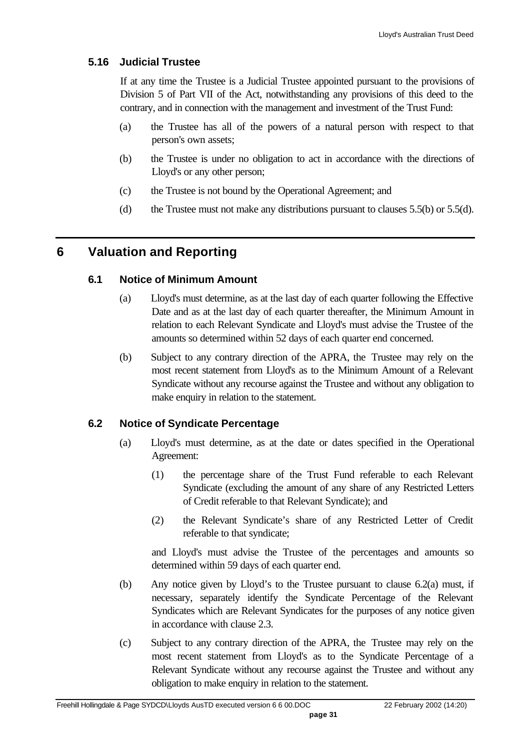#### **5.16 Judicial Trustee**

If at any time the Trustee is a Judicial Trustee appointed pursuant to the provisions of Division 5 of Part VII of the Act, notwithstanding any provisions of this deed to the contrary, and in connection with the management and investment of the Trust Fund:

- (a) the Trustee has all of the powers of a natural person with respect to that person's own assets;
- (b) the Trustee is under no obligation to act in accordance with the directions of Lloyd's or any other person;
- (c) the Trustee is not bound by the Operational Agreement; and
- (d) the Trustee must not make any distributions pursuant to clauses  $5.5(b)$  or  $5.5(d)$ .

## **6 Valuation and Reporting**

#### **6.1 Notice of Minimum Amount**

- (a) Lloyd's must determine, as at the last day of each quarter following the Effective Date and as at the last day of each quarter thereafter, the Minimum Amount in relation to each Relevant Syndicate and Lloyd's must advise the Trustee of the amounts so determined within 52 days of each quarter end concerned.
- (b) Subject to any contrary direction of the APRA, the Trustee may rely on the most recent statement from Lloyd's as to the Minimum Amount of a Relevant Syndicate without any recourse against the Trustee and without any obligation to make enquiry in relation to the statement.

#### **6.2 Notice of Syndicate Percentage**

- (a) Lloyd's must determine, as at the date or dates specified in the Operational Agreement:
	- (1) the percentage share of the Trust Fund referable to each Relevant Syndicate (excluding the amount of any share of any Restricted Letters of Credit referable to that Relevant Syndicate); and
	- (2) the Relevant Syndicate's share of any Restricted Letter of Credit referable to that syndicate;

and Lloyd's must advise the Trustee of the percentages and amounts so determined within 59 days of each quarter end.

- (b) Any notice given by Lloyd's to the Trustee pursuant to clause 6.2(a) must, if necessary, separately identify the Syndicate Percentage of the Relevant Syndicates which are Relevant Syndicates for the purposes of any notice given in accordance with clause 2.3.
- (c) Subject to any contrary direction of the APRA, the Trustee may rely on the most recent statement from Lloyd's as to the Syndicate Percentage of a Relevant Syndicate without any recourse against the Trustee and without any obligation to make enquiry in relation to the statement.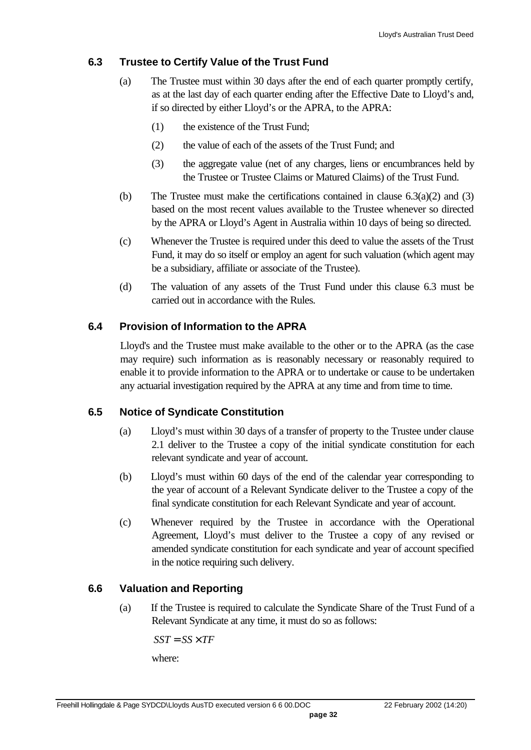#### **6.3 Trustee to Certify Value of the Trust Fund**

- (a) The Trustee must within 30 days after the end of each quarter promptly certify, as at the last day of each quarter ending after the Effective Date to Lloyd's and, if so directed by either Lloyd's or the APRA, to the APRA:
	- (1) the existence of the Trust Fund;
	- (2) the value of each of the assets of the Trust Fund; and
	- (3) the aggregate value (net of any charges, liens or encumbrances held by the Trustee or Trustee Claims or Matured Claims) of the Trust Fund.
- (b) The Trustee must make the certifications contained in clause  $6.3(a)(2)$  and  $(3)$ based on the most recent values available to the Trustee whenever so directed by the APRA or Lloyd's Agent in Australia within 10 days of being so directed.
- (c) Whenever the Trustee is required under this deed to value the assets of the Trust Fund, it may do so itself or employ an agent for such valuation (which agent may be a subsidiary, affiliate or associate of the Trustee).
- (d) The valuation of any assets of the Trust Fund under this clause 6.3 must be carried out in accordance with the Rules.

## **6.4 Provision of Information to the APRA**

Lloyd's and the Trustee must make available to the other or to the APRA (as the case may require) such information as is reasonably necessary or reasonably required to enable it to provide information to the APRA or to undertake or cause to be undertaken any actuarial investigation required by the APRA at any time and from time to time.

#### **6.5 Notice of Syndicate Constitution**

- (a) Lloyd's must within 30 days of a transfer of property to the Trustee under clause 2.1 deliver to the Trustee a copy of the initial syndicate constitution for each relevant syndicate and year of account.
- (b) Lloyd's must within 60 days of the end of the calendar year corresponding to the year of account of a Relevant Syndicate deliver to the Trustee a copy of the final syndicate constitution for each Relevant Syndicate and year of account.
- (c) Whenever required by the Trustee in accordance with the Operational Agreement, Lloyd's must deliver to the Trustee a copy of any revised or amended syndicate constitution for each syndicate and year of account specified in the notice requiring such delivery.

## **6.6 Valuation and Reporting**

(a) If the Trustee is required to calculate the Syndicate Share of the Trust Fund of a Relevant Syndicate at any time, it must do so as follows:

 $SST = SS \times TF$ where: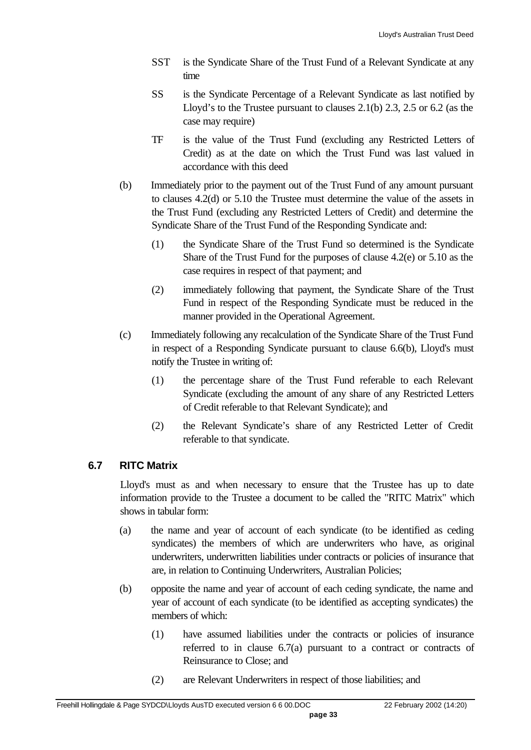- SST is the Syndicate Share of the Trust Fund of a Relevant Syndicate at any time
- SS is the Syndicate Percentage of a Relevant Syndicate as last notified by Lloyd's to the Trustee pursuant to clauses 2.1(b) 2.3, 2.5 or 6.2 (as the case may require)
- TF is the value of the Trust Fund (excluding any Restricted Letters of Credit) as at the date on which the Trust Fund was last valued in accordance with this deed
- (b) Immediately prior to the payment out of the Trust Fund of any amount pursuant to clauses 4.2(d) or 5.10 the Trustee must determine the value of the assets in the Trust Fund (excluding any Restricted Letters of Credit) and determine the Syndicate Share of the Trust Fund of the Responding Syndicate and:
	- (1) the Syndicate Share of the Trust Fund so determined is the Syndicate Share of the Trust Fund for the purposes of clause 4.2(e) or 5.10 as the case requires in respect of that payment; and
	- (2) immediately following that payment, the Syndicate Share of the Trust Fund in respect of the Responding Syndicate must be reduced in the manner provided in the Operational Agreement.
- (c) Immediately following any recalculation of the Syndicate Share of the Trust Fund in respect of a Responding Syndicate pursuant to clause 6.6(b), Lloyd's must notify the Trustee in writing of:
	- (1) the percentage share of the Trust Fund referable to each Relevant Syndicate (excluding the amount of any share of any Restricted Letters of Credit referable to that Relevant Syndicate); and
	- (2) the Relevant Syndicate's share of any Restricted Letter of Credit referable to that syndicate.

## **6.7 RITC Matrix**

Lloyd's must as and when necessary to ensure that the Trustee has up to date information provide to the Trustee a document to be called the "RITC Matrix" which shows in tabular form:

- (a) the name and year of account of each syndicate (to be identified as ceding syndicates) the members of which are underwriters who have, as original underwriters, underwritten liabilities under contracts or policies of insurance that are, in relation to Continuing Underwriters, Australian Policies;
- (b) opposite the name and year of account of each ceding syndicate, the name and year of account of each syndicate (to be identified as accepting syndicates) the members of which:
	- (1) have assumed liabilities under the contracts or policies of insurance referred to in clause 6.7(a) pursuant to a contract or contracts of Reinsurance to Close; and
	- (2) are Relevant Underwriters in respect of those liabilities; and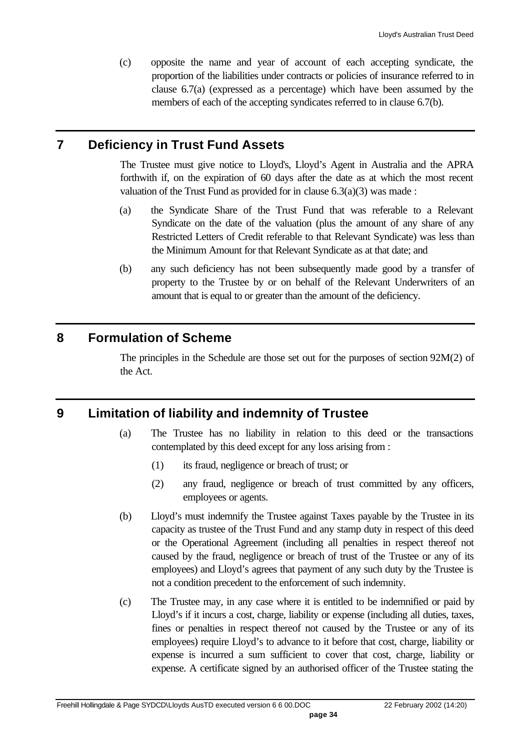(c) opposite the name and year of account of each accepting syndicate, the proportion of the liabilities under contracts or policies of insurance referred to in clause 6.7(a) (expressed as a percentage) which have been assumed by the members of each of the accepting syndicates referred to in clause 6.7(b).

## **7 Deficiency in Trust Fund Assets**

The Trustee must give notice to Lloyd's, Lloyd's Agent in Australia and the APRA forthwith if, on the expiration of 60 days after the date as at which the most recent valuation of the Trust Fund as provided for in clause  $6.3(a)(3)$  was made:

- (a) the Syndicate Share of the Trust Fund that was referable to a Relevant Syndicate on the date of the valuation (plus the amount of any share of any Restricted Letters of Credit referable to that Relevant Syndicate) was less than the Minimum Amount for that Relevant Syndicate as at that date; and
- (b) any such deficiency has not been subsequently made good by a transfer of property to the Trustee by or on behalf of the Relevant Underwriters of an amount that is equal to or greater than the amount of the deficiency.

## **8 Formulation of Scheme**

The principles in the Schedule are those set out for the purposes of section 92M(2) of the Act.

## **9 Limitation of liability and indemnity of Trustee**

- (a) The Trustee has no liability in relation to this deed or the transactions contemplated by this deed except for any loss arising from :
	- (1) its fraud, negligence or breach of trust; or
	- (2) any fraud, negligence or breach of trust committed by any officers, employees or agents.
- (b) Lloyd's must indemnify the Trustee against Taxes payable by the Trustee in its capacity as trustee of the Trust Fund and any stamp duty in respect of this deed or the Operational Agreement (including all penalties in respect thereof not caused by the fraud, negligence or breach of trust of the Trustee or any of its employees) and Lloyd's agrees that payment of any such duty by the Trustee is not a condition precedent to the enforcement of such indemnity.
- (c) The Trustee may, in any case where it is entitled to be indemnified or paid by Lloyd's if it incurs a cost, charge, liability or expense (including all duties, taxes, fines or penalties in respect thereof not caused by the Trustee or any of its employees) require Lloyd's to advance to it before that cost, charge, liability or expense is incurred a sum sufficient to cover that cost, charge, liability or expense. A certificate signed by an authorised officer of the Trustee stating the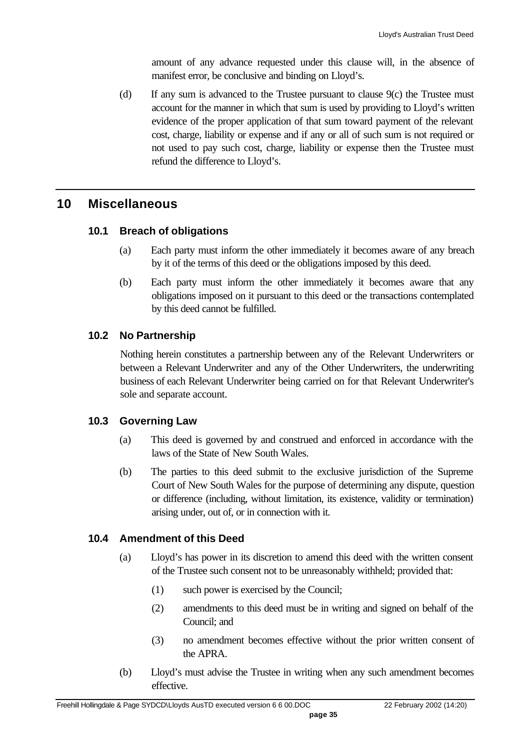amount of any advance requested under this clause will, in the absence of manifest error, be conclusive and binding on Lloyd's.

(d) If any sum is advanced to the Trustee pursuant to clause 9(c) the Trustee must account for the manner in which that sum is used by providing to Lloyd's written evidence of the proper application of that sum toward payment of the relevant cost, charge, liability or expense and if any or all of such sum is not required or not used to pay such cost, charge, liability or expense then the Trustee must refund the difference to Lloyd's.

## **10 Miscellaneous**

#### **10.1 Breach of obligations**

- (a) Each party must inform the other immediately it becomes aware of any breach by it of the terms of this deed or the obligations imposed by this deed.
- (b) Each party must inform the other immediately it becomes aware that any obligations imposed on it pursuant to this deed or the transactions contemplated by this deed cannot be fulfilled.

#### **10.2 No Partnership**

Nothing herein constitutes a partnership between any of the Relevant Underwriters or between a Relevant Underwriter and any of the Other Underwriters, the underwriting business of each Relevant Underwriter being carried on for that Relevant Underwriter's sole and separate account.

#### **10.3 Governing Law**

- (a) This deed is governed by and construed and enforced in accordance with the laws of the State of New South Wales.
- (b) The parties to this deed submit to the exclusive jurisdiction of the Supreme Court of New South Wales for the purpose of determining any dispute, question or difference (including, without limitation, its existence, validity or termination) arising under, out of, or in connection with it.

#### **10.4 Amendment of this Deed**

- (a) Lloyd's has power in its discretion to amend this deed with the written consent of the Trustee such consent not to be unreasonably withheld; provided that:
	- (1) such power is exercised by the Council;
	- (2) amendments to this deed must be in writing and signed on behalf of the Council; and
	- (3) no amendment becomes effective without the prior written consent of the APRA.
- (b) Lloyd's must advise the Trustee in writing when any such amendment becomes effective.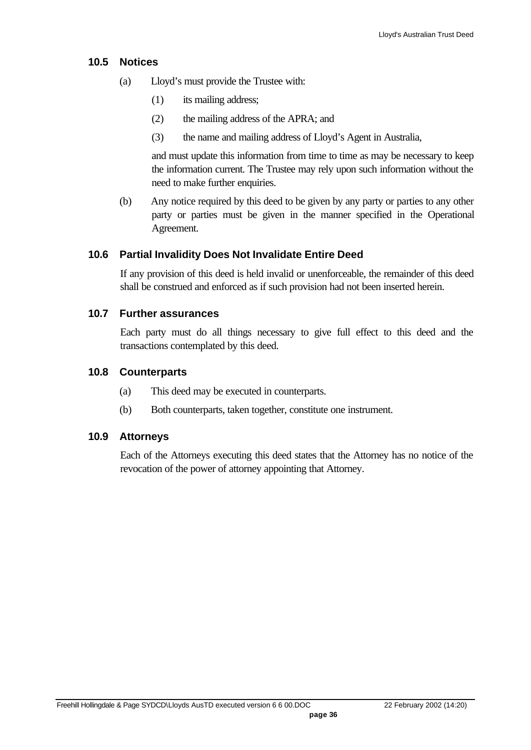#### **10.5 Notices**

- (a) Lloyd's must provide the Trustee with:
	- (1) its mailing address;
	- (2) the mailing address of the APRA; and
	- (3) the name and mailing address of Lloyd's Agent in Australia,

and must update this information from time to time as may be necessary to keep the information current. The Trustee may rely upon such information without the need to make further enquiries.

(b) Any notice required by this deed to be given by any party or parties to any other party or parties must be given in the manner specified in the Operational Agreement.

#### **10.6 Partial Invalidity Does Not Invalidate Entire Deed**

If any provision of this deed is held invalid or unenforceable, the remainder of this deed shall be construed and enforced as if such provision had not been inserted herein.

#### **10.7 Further assurances**

Each party must do all things necessary to give full effect to this deed and the transactions contemplated by this deed.

#### **10.8 Counterparts**

- (a) This deed may be executed in counterparts.
- (b) Both counterparts, taken together, constitute one instrument.

#### **10.9 Attorneys**

Each of the Attorneys executing this deed states that the Attorney has no notice of the revocation of the power of attorney appointing that Attorney.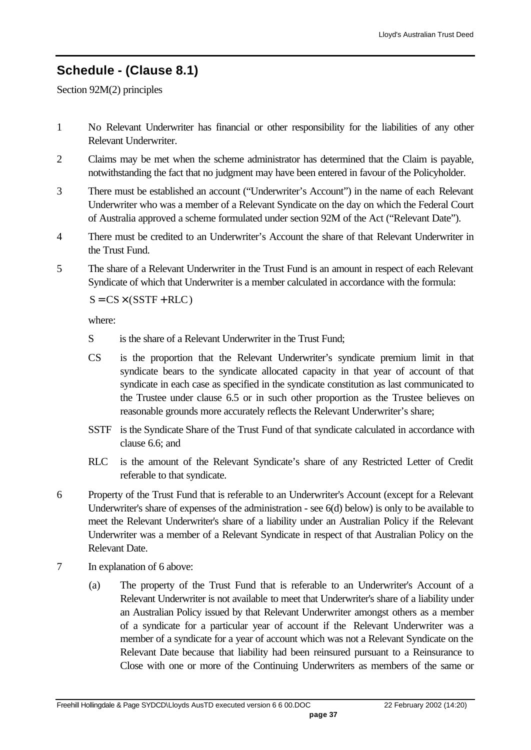## **Schedule - (Clause 8.1)**

Section 92M(2) principles

- 1 No Relevant Underwriter has financial or other responsibility for the liabilities of any other Relevant Underwriter.
- 2 Claims may be met when the scheme administrator has determined that the Claim is payable, notwithstanding the fact that no judgment may have been entered in favour of the Policyholder.
- 3 There must be established an account ("Underwriter's Account") in the name of each Relevant Underwriter who was a member of a Relevant Syndicate on the day on which the Federal Court of Australia approved a scheme formulated under section 92M of the Act ("Relevant Date").
- 4 There must be credited to an Underwriter's Account the share of that Relevant Underwriter in the Trust Fund.
- 5 The share of a Relevant Underwriter in the Trust Fund is an amount in respect of each Relevant Syndicate of which that Underwriter is a member calculated in accordance with the formula:

 $S = CS \times (SSTF + RLC)$ 

where:

- S is the share of a Relevant Underwriter in the Trust Fund:
- CS is the proportion that the Relevant Underwriter's syndicate premium limit in that syndicate bears to the syndicate allocated capacity in that year of account of that syndicate in each case as specified in the syndicate constitution as last communicated to the Trustee under clause 6.5 or in such other proportion as the Trustee believes on reasonable grounds more accurately reflects the Relevant Underwriter's share;
- SSTF is the Syndicate Share of the Trust Fund of that syndicate calculated in accordance with clause 6.6; and
- RLC is the amount of the Relevant Syndicate's share of any Restricted Letter of Credit referable to that syndicate.
- 6 Property of the Trust Fund that is referable to an Underwriter's Account (except for a Relevant Underwriter's share of expenses of the administration - see 6(d) below) is only to be available to meet the Relevant Underwriter's share of a liability under an Australian Policy if the Relevant Underwriter was a member of a Relevant Syndicate in respect of that Australian Policy on the Relevant Date.
- 7 In explanation of 6 above:
	- (a) The property of the Trust Fund that is referable to an Underwriter's Account of a Relevant Underwriter is not available to meet that Underwriter's share of a liability under an Australian Policy issued by that Relevant Underwriter amongst others as a member of a syndicate for a particular year of account if the Relevant Underwriter was a member of a syndicate for a year of account which was not a Relevant Syndicate on the Relevant Date because that liability had been reinsured pursuant to a Reinsurance to Close with one or more of the Continuing Underwriters as members of the same or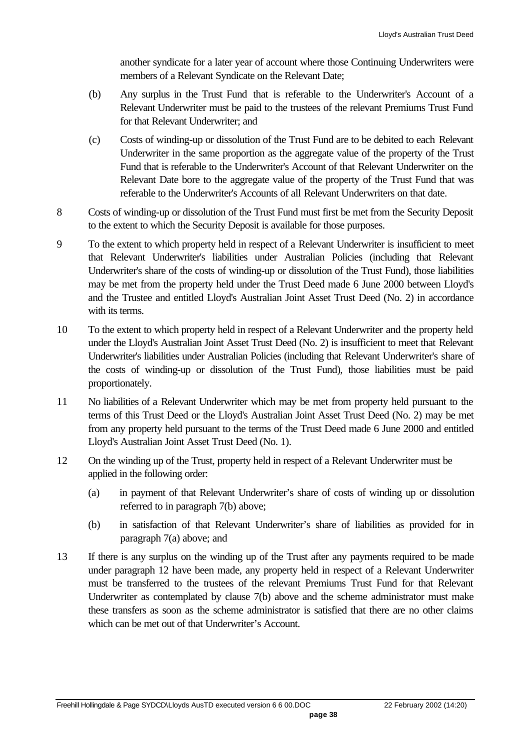another syndicate for a later year of account where those Continuing Underwriters were members of a Relevant Syndicate on the Relevant Date;

- (b) Any surplus in the Trust Fund that is referable to the Underwriter's Account of a Relevant Underwriter must be paid to the trustees of the relevant Premiums Trust Fund for that Relevant Underwriter; and
- (c) Costs of winding-up or dissolution of the Trust Fund are to be debited to each Relevant Underwriter in the same proportion as the aggregate value of the property of the Trust Fund that is referable to the Underwriter's Account of that Relevant Underwriter on the Relevant Date bore to the aggregate value of the property of the Trust Fund that was referable to the Underwriter's Accounts of all Relevant Underwriters on that date.
- 8 Costs of winding-up or dissolution of the Trust Fund must first be met from the Security Deposit to the extent to which the Security Deposit is available for those purposes.
- 9 To the extent to which property held in respect of a Relevant Underwriter is insufficient to meet that Relevant Underwriter's liabilities under Australian Policies (including that Relevant Underwriter's share of the costs of winding-up or dissolution of the Trust Fund), those liabilities may be met from the property held under the Trust Deed made 6 June 2000 between Lloyd's and the Trustee and entitled Lloyd's Australian Joint Asset Trust Deed (No. 2) in accordance with its terms.
- 10 To the extent to which property held in respect of a Relevant Underwriter and the property held under the Lloyd's Australian Joint Asset Trust Deed (No. 2) is insufficient to meet that Relevant Underwriter's liabilities under Australian Policies (including that Relevant Underwriter's share of the costs of winding-up or dissolution of the Trust Fund), those liabilities must be paid proportionately.
- 11 No liabilities of a Relevant Underwriter which may be met from property held pursuant to the terms of this Trust Deed or the Lloyd's Australian Joint Asset Trust Deed (No. 2) may be met from any property held pursuant to the terms of the Trust Deed made 6 June 2000 and entitled Lloyd's Australian Joint Asset Trust Deed (No. 1).
- 12 On the winding up of the Trust, property held in respect of a Relevant Underwriter must be applied in the following order:
	- (a) in payment of that Relevant Underwriter's share of costs of winding up or dissolution referred to in paragraph 7(b) above;
	- (b) in satisfaction of that Relevant Underwriter's share of liabilities as provided for in paragraph 7(a) above; and
- 13 If there is any surplus on the winding up of the Trust after any payments required to be made under paragraph 12 have been made, any property held in respect of a Relevant Underwriter must be transferred to the trustees of the relevant Premiums Trust Fund for that Relevant Underwriter as contemplated by clause 7(b) above and the scheme administrator must make these transfers as soon as the scheme administrator is satisfied that there are no other claims which can be met out of that Underwriter's Account.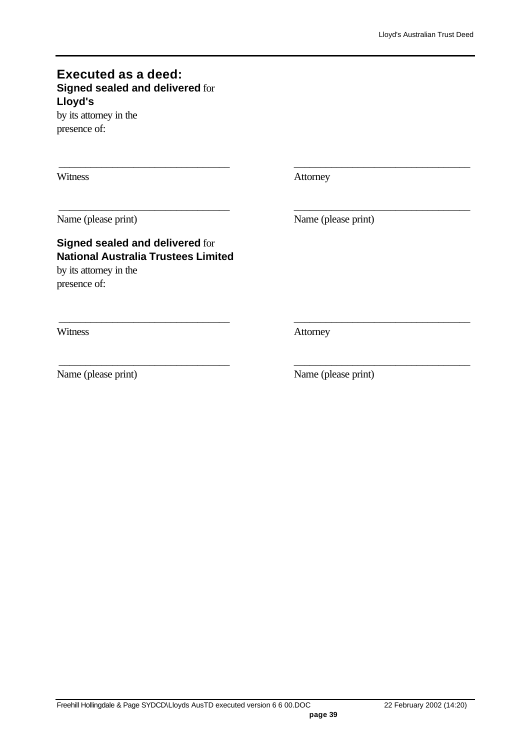#### **Executed as a deed: Signed sealed and delivered** for **Lloyd's**

by its attorney in the presence of:

Witness **Attorney** 

\_\_\_\_\_\_\_\_\_\_\_\_\_\_\_\_\_\_\_\_\_\_\_\_\_\_\_\_\_\_\_\_ \_\_\_\_\_\_\_\_\_\_\_\_\_\_\_\_\_\_\_\_\_\_\_\_\_\_\_\_\_\_\_\_\_

\_\_\_\_\_\_\_\_\_\_\_\_\_\_\_\_\_\_\_\_\_\_\_\_\_\_\_\_\_\_\_\_ \_\_\_\_\_\_\_\_\_\_\_\_\_\_\_\_\_\_\_\_\_\_\_\_\_\_\_\_\_\_\_\_\_

\_\_\_\_\_\_\_\_\_\_\_\_\_\_\_\_\_\_\_\_\_\_\_\_\_\_\_\_\_\_\_\_ \_\_\_\_\_\_\_\_\_\_\_\_\_\_\_\_\_\_\_\_\_\_\_\_\_\_\_\_\_\_\_\_\_

\_\_\_\_\_\_\_\_\_\_\_\_\_\_\_\_\_\_\_\_\_\_\_\_\_\_\_\_\_\_\_\_ \_\_\_\_\_\_\_\_\_\_\_\_\_\_\_\_\_\_\_\_\_\_\_\_\_\_\_\_\_\_\_\_\_

Name (please print) Name (please print)

## **Signed sealed and delivered** for **National Australia Trustees Limited**

by its attorney in the presence of:

Witness **Attorney** 

Name (please print) Name (please print)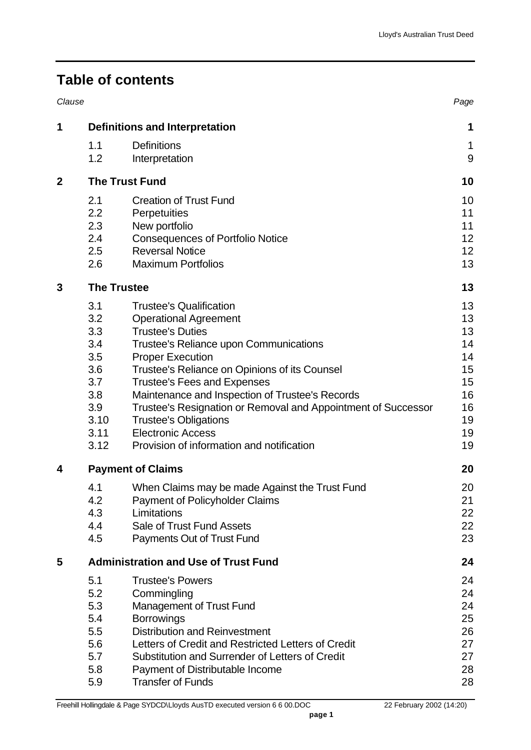# **Table of contents**

| Clause      |                                       |                                                               | Page |  |  |  |
|-------------|---------------------------------------|---------------------------------------------------------------|------|--|--|--|
| 1           | <b>Definitions and Interpretation</b> |                                                               |      |  |  |  |
|             | 1.1                                   | <b>Definitions</b>                                            | 1    |  |  |  |
|             | 1.2                                   | Interpretation                                                | 9    |  |  |  |
| $\mathbf 2$ |                                       | <b>The Trust Fund</b>                                         | 10   |  |  |  |
|             | 2.1                                   | <b>Creation of Trust Fund</b>                                 | 10   |  |  |  |
|             | 2.2                                   | Perpetuities                                                  | 11   |  |  |  |
|             | 2.3                                   | New portfolio                                                 | 11   |  |  |  |
|             | 2.4                                   | <b>Consequences of Portfolio Notice</b>                       | 12   |  |  |  |
|             | 2.5                                   | <b>Reversal Notice</b>                                        | 12   |  |  |  |
|             | 2.6                                   | <b>Maximum Portfolios</b>                                     | 13   |  |  |  |
| 3           | <b>The Trustee</b>                    |                                                               | 13   |  |  |  |
|             | 3.1                                   | <b>Trustee's Qualification</b>                                | 13   |  |  |  |
|             | 3.2                                   | <b>Operational Agreement</b>                                  | 13   |  |  |  |
|             | 3.3                                   | <b>Trustee's Duties</b>                                       | 13   |  |  |  |
|             | 3.4                                   | Trustee's Reliance upon Communications                        | 14   |  |  |  |
|             | 3.5                                   | <b>Proper Execution</b>                                       | 14   |  |  |  |
|             | 3.6                                   | Trustee's Reliance on Opinions of its Counsel                 | 15   |  |  |  |
|             | 3.7                                   | <b>Trustee's Fees and Expenses</b>                            | 15   |  |  |  |
|             | 3.8                                   | Maintenance and Inspection of Trustee's Records               | 16   |  |  |  |
|             | 3.9                                   | Trustee's Resignation or Removal and Appointment of Successor | 16   |  |  |  |
|             | 3.10                                  | <b>Trustee's Obligations</b>                                  | 19   |  |  |  |
|             | 3.11                                  | <b>Electronic Access</b>                                      | 19   |  |  |  |
|             | 3.12                                  | Provision of information and notification                     | 19   |  |  |  |
| 4           |                                       | <b>Payment of Claims</b>                                      | 20   |  |  |  |
|             | 4.1                                   | When Claims may be made Against the Trust Fund                | 20   |  |  |  |
|             | 4.2                                   | <b>Payment of Policyholder Claims</b>                         | 21   |  |  |  |
|             | 4.3                                   | Limitations                                                   | 22   |  |  |  |
|             | 4.4                                   | Sale of Trust Fund Assets                                     | 22   |  |  |  |
|             | 4.5                                   | Payments Out of Trust Fund                                    | 23   |  |  |  |
| 5           |                                       | <b>Administration and Use of Trust Fund</b>                   | 24   |  |  |  |
|             | 5.1                                   | <b>Trustee's Powers</b>                                       | 24   |  |  |  |
|             | 5.2                                   | Commingling                                                   | 24   |  |  |  |
|             | 5.3                                   | <b>Management of Trust Fund</b>                               | 24   |  |  |  |
|             | 5.4                                   | <b>Borrowings</b>                                             | 25   |  |  |  |
|             | 5.5                                   | <b>Distribution and Reinvestment</b>                          | 26   |  |  |  |
|             | 5.6                                   | Letters of Credit and Restricted Letters of Credit            | 27   |  |  |  |
|             | 5.7                                   | Substitution and Surrender of Letters of Credit               | 27   |  |  |  |
|             | 5.8                                   | Payment of Distributable Income                               | 28   |  |  |  |
|             | 5.9                                   | <b>Transfer of Funds</b>                                      | 28   |  |  |  |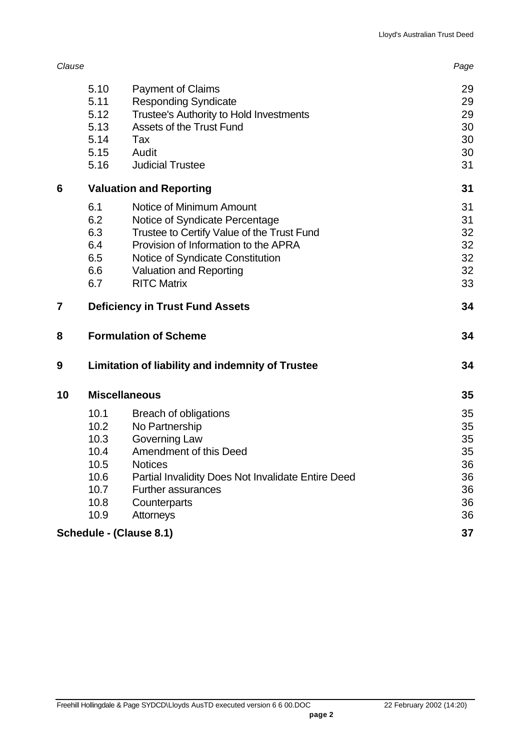| Clause |                                                                      |                                                                                                                                                                                                                                              | Page                                               |
|--------|----------------------------------------------------------------------|----------------------------------------------------------------------------------------------------------------------------------------------------------------------------------------------------------------------------------------------|----------------------------------------------------|
|        | 5.10<br>5.11<br>5.12<br>5.13<br>5.14<br>5.15                         | <b>Payment of Claims</b><br><b>Responding Syndicate</b><br>Trustee's Authority to Hold Investments<br><b>Assets of the Trust Fund</b><br>Tax<br>Audit                                                                                        | 29<br>29<br>29<br>30<br>30<br>30                   |
|        | 5.16                                                                 | <b>Judicial Trustee</b>                                                                                                                                                                                                                      | 31                                                 |
| 6      |                                                                      | <b>Valuation and Reporting</b>                                                                                                                                                                                                               | 31                                                 |
|        | 6.1<br>6.2<br>6.3<br>6.4<br>6.5<br>6.6<br>6.7                        | Notice of Minimum Amount<br>Notice of Syndicate Percentage<br>Trustee to Certify Value of the Trust Fund<br>Provision of Information to the APRA<br>Notice of Syndicate Constitution<br><b>Valuation and Reporting</b><br><b>RITC Matrix</b> | 31<br>31<br>32<br>32<br>32<br>32<br>33             |
| 7      |                                                                      | <b>Deficiency in Trust Fund Assets</b>                                                                                                                                                                                                       | 34                                                 |
| 8      |                                                                      | <b>Formulation of Scheme</b>                                                                                                                                                                                                                 | 34                                                 |
| 9      |                                                                      | <b>Limitation of liability and indemnity of Trustee</b>                                                                                                                                                                                      | 34                                                 |
| 10     |                                                                      | <b>Miscellaneous</b>                                                                                                                                                                                                                         | 35                                                 |
|        | 10.1<br>10.2<br>10.3<br>10.4<br>10.5<br>10.6<br>10.7<br>10.8<br>10.9 | Breach of obligations<br>No Partnership<br>Governing Law<br>Amendment of this Deed<br><b>Notices</b><br>Partial Invalidity Does Not Invalidate Entire Deed<br><b>Further assurances</b><br>Counterparts<br>Attorneys                         | 35<br>35<br>35<br>35<br>36<br>36<br>36<br>36<br>36 |
|        |                                                                      | Schedule - (Clause 8.1)                                                                                                                                                                                                                      | 37                                                 |